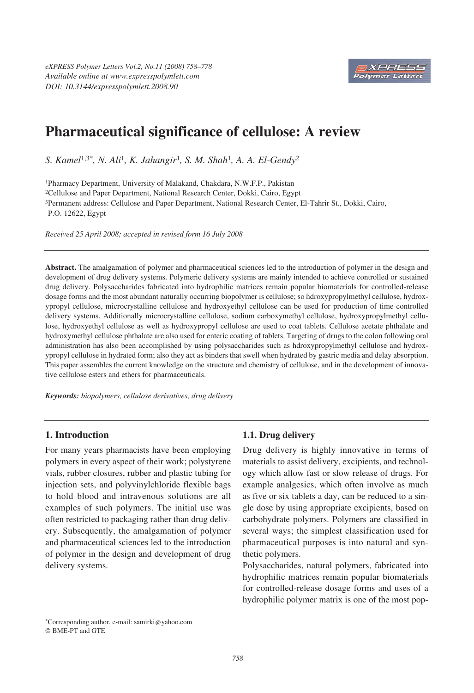# **Pharmaceutical significance of cellulose: A review**

*S. Kamel*1,3\**, N. Ali*1*, K. Jahangir*1*, S. M. Shah*1*, A. A. El-Gendy*2

1Pharmacy Department, University of Malakand, Chakdara, N.W.F.P., Pakistan 2Cellulose and Paper Department, National Research Center, Dokki, Cairo, Egypt 3Permanent address: Cellulose and Paper Department, National Research Center, El-Tahrir St., Dokki, Cairo, P.O. 12622, Egypt

*Received 25 April 2008; accepted in revised form 16 July 2008*

**Abstract.** The amalgamation of polymer and pharmaceutical sciences led to the introduction of polymer in the design and development of drug delivery systems. Polymeric delivery systems are mainly intended to achieve controlled or sustained drug delivery. Polysaccharides fabricated into hydrophilic matrices remain popular biomaterials for controlled-release dosage forms and the most abundant naturally occurring biopolymer is cellulose; so hdroxypropylmethyl cellulose, hydroxypropyl cellulose, microcrystalline cellulose and hydroxyethyl cellulose can be used for production of time controlled delivery systems. Additionally microcrystalline cellulose, sodium carboxymethyl cellulose, hydroxypropylmethyl cellulose, hydroxyethyl cellulose as well as hydroxypropyl cellulose are used to coat tablets. Cellulose acetate phthalate and hydroxymethyl cellulose phthalate are also used for enteric coating of tablets. Targeting of drugs to the colon following oral administration has also been accomplished by using polysaccharides such as hdroxypropylmethyl cellulose and hydroxypropyl cellulose in hydrated form; also they act as binders that swell when hydrated by gastric media and delay absorption. This paper assembles the current knowledge on the structure and chemistry of cellulose, and in the development of innovative cellulose esters and ethers for pharmaceuticals.

*Keywords: biopolymers, cellulose derivatives, drug delivery*

## **1. Introduction**

For many years pharmacists have been employing polymers in every aspect of their work; polystyrene vials, rubber closures, rubber and plastic tubing for injection sets, and polyvinylchloride flexible bags to hold blood and intravenous solutions are all examples of such polymers. The initial use was often restricted to packaging rather than drug delivery. Subsequently, the amalgamation of polymer and pharmaceutical sciences led to the introduction of polymer in the design and development of drug delivery systems.

## **1.1. Drug delivery**

Drug delivery is highly innovative in terms of materials to assist delivery, excipients, and technology which allow fast or slow release of drugs. For example analgesics, which often involve as much as five or six tablets a day, can be reduced to a single dose by using appropriate excipients, based on carbohydrate polymers. Polymers are classified in several ways; the simplest classification used for pharmaceutical purposes is into natural and synthetic polymers.

Polysaccharides, natural polymers, fabricated into hydrophilic matrices remain popular biomaterials for controlled-release dosage forms and uses of a hydrophilic polymer matrix is one of the most pop-

<sup>\*</sup>Corresponding author, e-mail: samirki@yahoo.com

<sup>©</sup> BME-PT and GTE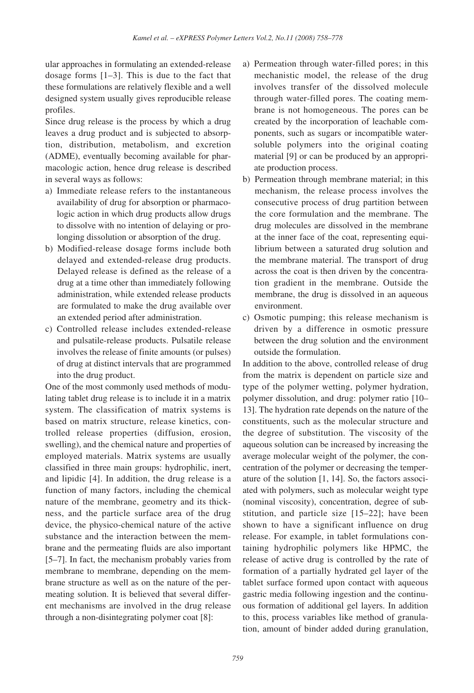ular approaches in formulating an extended-release dosage forms [1–3]. This is due to the fact that these formulations are relatively flexible and a well designed system usually gives reproducible release profiles.

Since drug release is the process by which a drug leaves a drug product and is subjected to absorption, distribution, metabolism, and excretion (ADME), eventually becoming available for pharmacologic action, hence drug release is described in several ways as follows:

- a) Immediate release refers to the instantaneous availability of drug for absorption or pharmacologic action in which drug products allow drugs to dissolve with no intention of delaying or prolonging dissolution or absorption of the drug.
- b) Modified-release dosage forms include both delayed and extended-release drug products. Delayed release is defined as the release of a drug at a time other than immediately following administration, while extended release products are formulated to make the drug available over an extended period after administration.
- c) Controlled release includes extended-release and pulsatile-release products. Pulsatile release involves the release of finite amounts (or pulses) of drug at distinct intervals that are programmed into the drug product.

One of the most commonly used methods of modulating tablet drug release is to include it in a matrix system. The classification of matrix systems is based on matrix structure, release kinetics, controlled release properties (diffusion, erosion, swelling), and the chemical nature and properties of employed materials. Matrix systems are usually classified in three main groups: hydrophilic, inert, and lipidic [4]. In addition, the drug release is a function of many factors, including the chemical nature of the membrane, geometry and its thickness, and the particle surface area of the drug device, the physico-chemical nature of the active substance and the interaction between the membrane and the permeating fluids are also important [5–7]. In fact, the mechanism probably varies from membrane to membrane, depending on the membrane structure as well as on the nature of the permeating solution. It is believed that several different mechanisms are involved in the drug release through a non-disintegrating polymer coat [8]:

- a) Permeation through water-filled pores; in this mechanistic model, the release of the drug involves transfer of the dissolved molecule through water-filled pores. The coating membrane is not homogeneous. The pores can be created by the incorporation of leachable components, such as sugars or incompatible watersoluble polymers into the original coating material [9] or can be produced by an appropriate production process.
- b) Permeation through membrane material; in this mechanism, the release process involves the consecutive process of drug partition between the core formulation and the membrane. The drug molecules are dissolved in the membrane at the inner face of the coat, representing equilibrium between a saturated drug solution and the membrane material. The transport of drug across the coat is then driven by the concentration gradient in the membrane. Outside the membrane, the drug is dissolved in an aqueous environment.
- c) Osmotic pumping; this release mechanism is driven by a difference in osmotic pressure between the drug solution and the environment outside the formulation.

In addition to the above, controlled release of drug from the matrix is dependent on particle size and type of the polymer wetting, polymer hydration, polymer dissolution, and drug: polymer ratio [10– 13]. The hydration rate depends on the nature of the constituents, such as the molecular structure and the degree of substitution. The viscosity of the aqueous solution can be increased by increasing the average molecular weight of the polymer, the concentration of the polymer or decreasing the temperature of the solution [1, 14]. So, the factors associated with polymers, such as molecular weight type (nominal viscosity), concentration, degree of substitution, and particle size [15–22]; have been shown to have a significant influence on drug release. For example, in tablet formulations containing hydrophilic polymers like HPMC, the release of active drug is controlled by the rate of formation of a partially hydrated gel layer of the tablet surface formed upon contact with aqueous gastric media following ingestion and the continuous formation of additional gel layers. In addition to this, process variables like method of granulation, amount of binder added during granulation,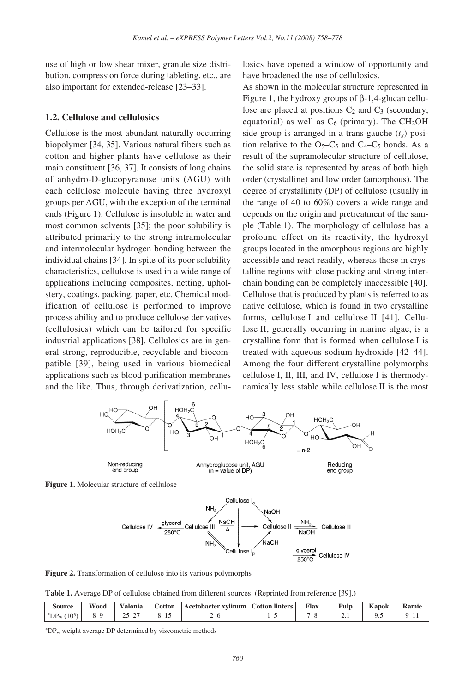use of high or low shear mixer, granule size distribution, compression force during tableting, etc., are also important for extended-release [23–33].

#### **1.2. Cellulose and cellulosics**

Cellulose is the most abundant naturally occurring biopolymer [34, 35]. Various natural fibers such as cotton and higher plants have cellulose as their main constituent [36, 37]. It consists of long chains of anhydro-D-glucopyranose units (AGU) with each cellulose molecule having three hydroxyl groups per AGU, with the exception of the terminal ends (Figure 1). Cellulose is insoluble in water and most common solvents [35]; the poor solubility is attributed primarily to the strong intramolecular and intermolecular hydrogen bonding between the individual chains [34]. In spite of its poor solubility characteristics, cellulose is used in a wide range of applications including composites, netting, upholstery, coatings, packing, paper, etc. Chemical modification of cellulose is performed to improve process ability and to produce cellulose derivatives (cellulosics) which can be tailored for specific industrial applications [38]. Cellulosics are in general strong, reproducible, recyclable and biocompatible [39], being used in various biomedical applications such as blood purification membranes and the like. Thus, through derivatization, cellulosics have opened a window of opportunity and have broadened the use of cellulosics.

As shown in the molecular structure represented in Figure 1, the hydroxy groups of  $β-1,4$ -glucan cellulose are placed at positions  $C_2$  and  $C_3$  (secondary, equatorial) as well as  $C_6$  (primary). The CH<sub>2</sub>OH side group is arranged in a trans-gauche  $(t<sub>g</sub>)$  position relative to the  $O<sub>5</sub>-C<sub>5</sub>$  and  $C<sub>4</sub>-C<sub>5</sub>$  bonds. As a result of the supramolecular structure of cellulose, the solid state is represented by areas of both high order (crystalline) and low order (amorphous). The degree of crystallinity (DP) of cellulose (usually in the range of 40 to 60%) covers a wide range and depends on the origin and pretreatment of the sample (Table 1). The morphology of cellulose has a profound effect on its reactivity, the hydroxyl groups located in the amorphous regions are highly accessible and react readily, whereas those in crystalline regions with close packing and strong interchain bonding can be completely inaccessible [40]. Cellulose that is produced by plants is referred to as native cellulose, which is found in two crystalline forms, cellulose I and cellulose II [41]. Cellulose II, generally occurring in marine algae, is a crystalline form that is formed when cellulose I is treated with aqueous sodium hydroxide [42–44]. Among the four different crystalline polymorphs cellulose I, II, III, and IV, cellulose I is thermodynamically less stable while cellulose II is the most



**Figure 1.** Molecular structure of cellulose



**Figure 2.** Transformation of cellulose into its various polymorphs

**Table 1.** Average DP of cellulose obtained from different sources. (Reprinted from reference [39].)

| Source         | Wood    | Valonia     | Cotton | Acetobacter xvlinum | Cotton linters           | Flax | Pulp | Kapok | Ramie |
|----------------|---------|-------------|--------|---------------------|--------------------------|------|------|-------|-------|
| $^*DP_w(10^3)$ | $8 - 9$ | $\sim$<br>- |        | ∸                   | $\overline{\phantom{a}}$ |      |      |       |       |

\*DPw weight average DP determined by viscometric methods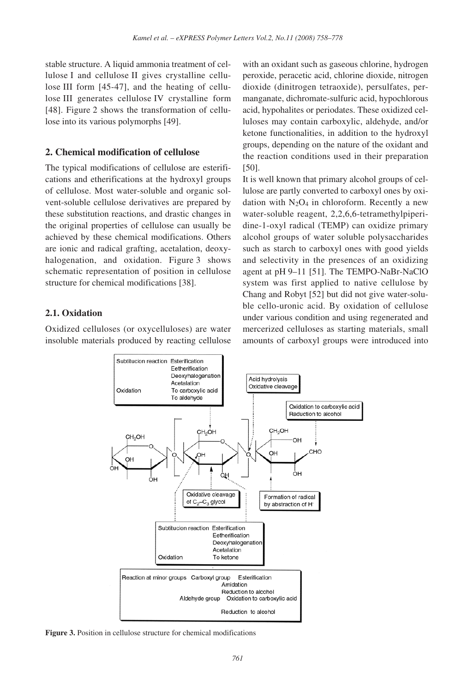stable structure. A liquid ammonia treatment of cellulose I and cellulose II gives crystalline cellulose III form [45-47], and the heating of cellulose III generates cellulose IV crystalline form [48]. Figure 2 shows the transformation of cellulose into its various polymorphs [49].

#### **2. Chemical modification of cellulose**

The typical modifications of cellulose are esterifications and etherifications at the hydroxyl groups of cellulose. Most water-soluble and organic solvent-soluble cellulose derivatives are prepared by these substitution reactions, and drastic changes in the original properties of cellulose can usually be achieved by these chemical modifications. Others are ionic and radical grafting, acetalation, deoxyhalogenation, and oxidation. Figure 3 shows schematic representation of position in cellulose structure for chemical modifications [38].

#### **2.1. Oxidation**

Oxidized celluloses (or oxycelluloses) are water insoluble materials produced by reacting cellulose

with an oxidant such as gaseous chlorine, hydrogen peroxide, peracetic acid, chlorine dioxide, nitrogen dioxide (dinitrogen tetraoxide), persulfates, permanganate, dichromate-sulfuric acid, hypochlorous acid, hypohalites or periodates. These oxidized celluloses may contain carboxylic, aldehyde, and/or ketone functionalities, in addition to the hydroxyl groups, depending on the nature of the oxidant and the reaction conditions used in their preparation [50].

It is well known that primary alcohol groups of cellulose are partly converted to carboxyl ones by oxidation with  $N_2O_4$  in chloroform. Recently a new water-soluble reagent, 2,2,6,6-tetramethylpiperidine-1-oxyl radical (TEMP) can oxidize primary alcohol groups of water soluble polysaccharides such as starch to carboxyl ones with good yields and selectivity in the presences of an oxidizing agent at pH 9–11 [51]. The TEMPO-NaBr-NaClO system was first applied to native cellulose by Chang and Robyt [52] but did not give water-soluble cello-uronic acid. By oxidation of cellulose under various condition and using regenerated and mercerized celluloses as starting materials, small amounts of carboxyl groups were introduced into



**Figure 3.** Position in cellulose structure for chemical modifications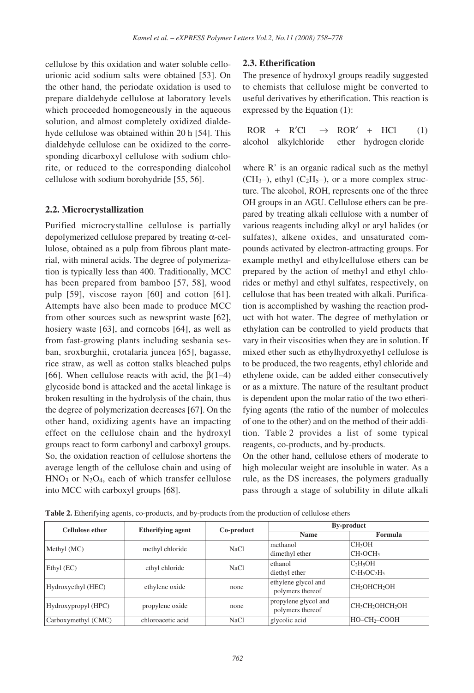cellulose by this oxidation and water soluble cellourionic acid sodium salts were obtained [53]. On the other hand, the periodate oxidation is used to prepare dialdehyde cellulose at laboratory levels which proceeded homogeneously in the aqueous solution, and almost completely oxidized dialdehyde cellulose was obtained within 20 h [54]. This dialdehyde cellulose can be oxidized to the corresponding dicarboxyl cellulose with sodium chlorite, or reduced to the corresponding dialcohol cellulose with sodium borohydride [55, 56].

## **2.2. Microcrystallization**

Purified microcrystalline cellulose is partially depolymerized cellulose prepared by treating α-cellulose, obtained as a pulp from fibrous plant material, with mineral acids. The degree of polymerization is typically less than 400. Traditionally, MCC has been prepared from bamboo [57, 58], wood pulp [59], viscose rayon [60] and cotton [61]. Attempts have also been made to produce MCC from other sources such as newsprint waste [62], hosiery waste [63], and corncobs [64], as well as from fast-growing plants including sesbania sesban, sroxburghii, crotalaria juncea [65], bagasse, rice straw, as well as cotton stalks bleached pulps [66]. When cellulose reacts with acid, the  $\beta(1-4)$ glycoside bond is attacked and the acetal linkage is broken resulting in the hydrolysis of the chain, thus the degree of polymerization decreases [67]. On the other hand, oxidizing agents have an impacting effect on the cellulose chain and the hydroxyl groups react to form carbonyl and carboxyl groups. So, the oxidation reaction of cellulose shortens the average length of the cellulose chain and using of  $HNO<sub>3</sub>$  or  $N<sub>2</sub>O<sub>4</sub>$ , each of which transfer cellulose into MCC with carboxyl groups [68].

# **2.3. Etherification**

The presence of hydroxyl groups readily suggested to chemists that cellulose might be converted to useful derivatives by etherification. This reaction is expressed by the Equation (1):

|                                              |  | $ROR + R'C! \rightarrow ROR' + HCl$ |  | (1) |
|----------------------------------------------|--|-------------------------------------|--|-----|
| alcohol alkylchloride ether hydrogen cloride |  |                                     |  |     |

where R' is an organic radical such as the methyl  $(CH_3-)$ , ethyl  $(C_2H_5-)$ , or a more complex structure. The alcohol, ROH, represents one of the three OH groups in an AGU. Cellulose ethers can be prepared by treating alkali cellulose with a number of various reagents including alkyl or aryl halides (or sulfates), alkene oxides, and unsaturated compounds activated by electron-attracting groups. For example methyl and ethylcellulose ethers can be prepared by the action of methyl and ethyl chlorides or methyl and ethyl sulfates, respectively, on cellulose that has been treated with alkali. Purification is accomplished by washing the reaction product with hot water. The degree of methylation or ethylation can be controlled to yield products that vary in their viscosities when they are in solution. If mixed ether such as ethylhydroxyethyl cellulose is to be produced, the two reagents, ethyl chloride and ethylene oxide, can be added either consecutively or as a mixture. The nature of the resultant product is dependent upon the molar ratio of the two etherifying agents (the ratio of the number of molecules of one to the other) and on the method of their addition. Table 2 provides a list of some typical reagents, co-products, and by-products.

On the other hand, cellulose ethers of moderate to high molecular weight are insoluble in water. As a rule, as the DS increases, the polymers gradually pass through a stage of solubility in dilute alkali

| <b>Cellulose ether</b> | <b>Etherifying agent</b> | Co-product  | <b>By-product</b>                        |                                                      |  |
|------------------------|--------------------------|-------------|------------------------------------------|------------------------------------------------------|--|
|                        |                          |             | <b>Name</b>                              | Formula                                              |  |
| Methyl (MC)            | methyl chloride          | <b>NaCl</b> | methanol                                 | CH <sub>3</sub> OH                                   |  |
|                        |                          |             | dimethyl ether                           | CH <sub>3</sub> OCH <sub>3</sub>                     |  |
| Ethyl (EC)             | ethyl chloride           | <b>NaCl</b> | ethanol                                  | $C_2H_5OH$                                           |  |
|                        |                          |             | diethyl ether                            | $C_2H_5OC_2H_5$                                      |  |
| Hydroxyethyl (HEC)     | ethylene oxide           | none        | ethylene glycol and<br>polymers thereof  | CH <sub>2</sub> OHCH <sub>2</sub> OH                 |  |
| Hydroxypropyl (HPC)    | propylene oxide          | none        | propylene glycol and<br>polymers thereof | CH <sub>3</sub> CH <sub>2</sub> OHCH <sub>2</sub> OH |  |
| Carboxymethyl (CMC)    | chloroacetic acid        | <b>NaCl</b> | glycolic acid                            | $HO-CH2-COOH$                                        |  |

**Table 2.** Etherifying agents, co-products, and by-products from the production of cellulose ethers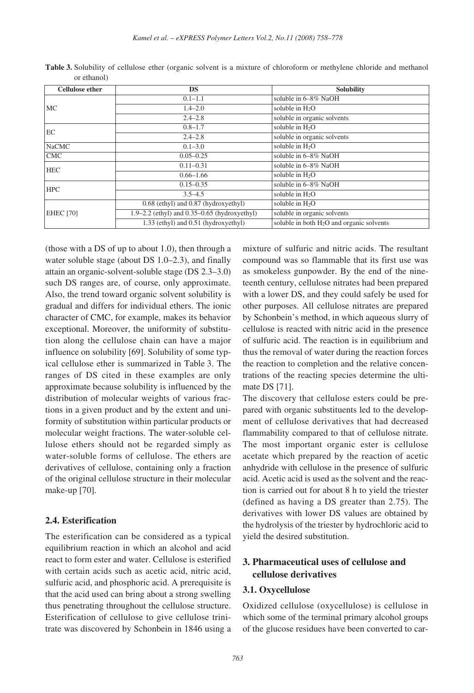| <b>Cellulose ether</b> | <b>DS</b>                                            | <b>Solubility</b>                           |  |  |
|------------------------|------------------------------------------------------|---------------------------------------------|--|--|
|                        | $0.1 - 1.1$                                          | soluble in 6–8% NaOH                        |  |  |
| <b>MC</b>              | $1.4 - 2.0$                                          | soluble in $H_2O$                           |  |  |
|                        | $2.4 - 2.8$                                          | soluble in organic solvents                 |  |  |
| EC                     | $0.8 - 1.7$                                          | soluble in $H_2O$                           |  |  |
|                        | $2.4 - 2.8$                                          | soluble in organic solvents                 |  |  |
| <b>NaCMC</b>           | $0.1 - 3.0$                                          | soluble in $H_2O$                           |  |  |
| <b>CMC</b>             | $0.05 - 0.25$                                        | soluble in 6–8% NaOH                        |  |  |
| <b>HEC</b>             | $0.11 - 0.31$                                        | soluble in 6–8% NaOH                        |  |  |
|                        | $0.66 - 1.66$                                        | soluble in $H2O$                            |  |  |
| <b>HPC</b>             | $0.15 - 0.35$                                        | soluble in 6-8% NaOH                        |  |  |
|                        | $3.5 - 4.5$                                          | soluble in $H_2O$                           |  |  |
| <b>EHEC</b> [70]       | 0.68 (ethyl) and 0.87 (hydroxyethyl)                 | soluble in $H_2O$                           |  |  |
|                        | $1.9 - 2.2$ (ethyl) and $0.35 - 0.65$ (hydroxyethyl) | soluble in organic solvents                 |  |  |
|                        | 1.33 (ethyl) and 0.51 (hydroxyethyl)                 | soluble in both $H_2O$ and organic solvents |  |  |

**Table 3.** Solubility of cellulose ether (organic solvent is a mixture of chloroform or methylene chloride and methanol or ethanol)

(those with a DS of up to about 1.0), then through a water soluble stage (about DS 1.0–2.3), and finally attain an organic-solvent-soluble stage (DS 2.3–3.0) such DS ranges are, of course, only approximate. Also, the trend toward organic solvent solubility is gradual and differs for individual ethers. The ionic character of CMC, for example, makes its behavior exceptional. Moreover, the uniformity of substitution along the cellulose chain can have a major influence on solubility [69]. Solubility of some typical cellulose ether is summarized in Table 3. The ranges of DS cited in these examples are only approximate because solubility is influenced by the distribution of molecular weights of various fractions in a given product and by the extent and uniformity of substitution within particular products or molecular weight fractions. The water-soluble cellulose ethers should not be regarded simply as water-soluble forms of cellulose. The ethers are derivatives of cellulose, containing only a fraction of the original cellulose structure in their molecular make-up [70].

## **2.4. Esterification**

The esterification can be considered as a typical equilibrium reaction in which an alcohol and acid react to form ester and water. Cellulose is esterified with certain acids such as acetic acid, nitric acid, sulfuric acid, and phosphoric acid. A prerequisite is that the acid used can bring about a strong swelling thus penetrating throughout the cellulose structure. Esterification of cellulose to give cellulose trinitrate was discovered by Schonbein in 1846 using a mixture of sulfuric and nitric acids. The resultant compound was so flammable that its first use was as smokeless gunpowder. By the end of the nineteenth century, cellulose nitrates had been prepared with a lower DS, and they could safely be used for other purposes. All cellulose nitrates are prepared by Schonbein's method, in which aqueous slurry of cellulose is reacted with nitric acid in the presence of sulfuric acid. The reaction is in equilibrium and thus the removal of water during the reaction forces the reaction to completion and the relative concentrations of the reacting species determine the ultimate DS [71].

The discovery that cellulose esters could be prepared with organic substituents led to the development of cellulose derivatives that had decreased flammability compared to that of cellulose nitrate. The most important organic ester is cellulose acetate which prepared by the reaction of acetic anhydride with cellulose in the presence of sulfuric acid. Acetic acid is used as the solvent and the reaction is carried out for about 8 h to yield the triester (defined as having a DS greater than 2.75). The derivatives with lower DS values are obtained by the hydrolysis of the triester by hydrochloric acid to yield the desired substitution.

# **3. Pharmaceutical uses of cellulose and cellulose derivatives**

#### **3.1. Oxycellulose**

Oxidized cellulose (oxycellulose) is cellulose in which some of the terminal primary alcohol groups of the glucose residues have been converted to car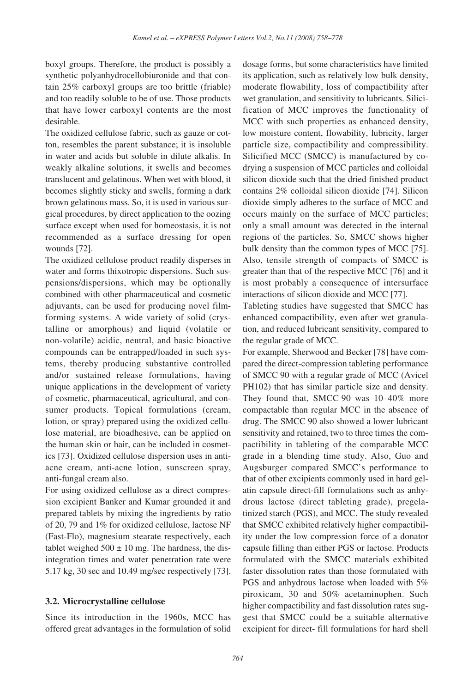boxyl groups. Therefore, the product is possibly a synthetic polyanhydrocellobiuronide and that contain 25% carboxyl groups are too brittle (friable) and too readily soluble to be of use. Those products that have lower carboxyl contents are the most desirable.

The oxidized cellulose fabric, such as gauze or cotton, resembles the parent substance; it is insoluble in water and acids but soluble in dilute alkalis. In weakly alkaline solutions, it swells and becomes translucent and gelatinous. When wet with blood, it becomes slightly sticky and swells, forming a dark brown gelatinous mass. So, it is used in various surgical procedures, by direct application to the oozing surface except when used for homeostasis, it is not recommended as a surface dressing for open wounds [72].

The oxidized cellulose product readily disperses in water and forms thixotropic dispersions. Such suspensions/dispersions, which may be optionally combined with other pharmaceutical and cosmetic adjuvants, can be used for producing novel filmforming systems. A wide variety of solid (crystalline or amorphous) and liquid (volatile or non-volatile) acidic, neutral, and basic bioactive compounds can be entrapped/loaded in such systems, thereby producing substantive controlled and/or sustained release formulations, having unique applications in the development of variety of cosmetic, pharmaceutical, agricultural, and consumer products. Topical formulations (cream, lotion, or spray) prepared using the oxidized cellulose material, are bioadhesive, can be applied on the human skin or hair, can be included in cosmetics [73]. Oxidized cellulose dispersion uses in antiacne cream, anti-acne lotion, sunscreen spray, anti-fungal cream also.

For using oxidized cellulose as a direct compression excipient Banker and Kumar grounded it and prepared tablets by mixing the ingredients by ratio of 20, 79 and 1% for oxidized cellulose, lactose NF (Fast-Flo), magnesium stearate respectively, each tablet weighed  $500 \pm 10$  mg. The hardness, the disintegration times and water penetration rate were 5.17 kg, 30 sec and 10.49 mg/sec respectively [73].

## **3.2. Microcrystalline cellulose**

Since its introduction in the 1960s, MCC has offered great advantages in the formulation of solid dosage forms, but some characteristics have limited its application, such as relatively low bulk density, moderate flowability, loss of compactibility after wet granulation, and sensitivity to lubricants. Silicification of MCC improves the functionality of MCC with such properties as enhanced density, low moisture content, flowability, lubricity, larger particle size, compactibility and compressibility. Silicified MCC (SMCC) is manufactured by codrying a suspension of MCC particles and colloidal silicon dioxide such that the dried finished product contains 2% colloidal silicon dioxide [74]. Silicon dioxide simply adheres to the surface of MCC and occurs mainly on the surface of MCC particles; only a small amount was detected in the internal regions of the particles. So, SMCC shows higher bulk density than the common types of MCC [75]. Also, tensile strength of compacts of SMCC is greater than that of the respective MCC [76] and it is most probably a consequence of intersurface interactions of silicon dioxide and MCC [77].

Tableting studies have suggested that SMCC has enhanced compactibility, even after wet granulation, and reduced lubricant sensitivity, compared to the regular grade of MCC.

For example, Sherwood and Becker [78] have compared the direct-compression tableting performance of SMCC 90 with a regular grade of MCC (Avicel PH102) that has similar particle size and density. They found that, SMCC 90 was 10–40% more compactable than regular MCC in the absence of drug. The SMCC 90 also showed a lower lubricant sensitivity and retained, two to three times the compactibility in tableting of the comparable MCC grade in a blending time study. Also, Guo and Augsburger compared SMCC's performance to that of other excipients commonly used in hard gelatin capsule direct-fill formulations such as anhydrous lactose (direct tableting grade), pregelatinized starch (PGS), and MCC. The study revealed that SMCC exhibited relatively higher compactibility under the low compression force of a donator capsule filling than either PGS or lactose. Products formulated with the SMCC materials exhibited faster dissolution rates than those formulated with PGS and anhydrous lactose when loaded with 5% piroxicam, 30 and 50% acetaminophen. Such higher compactibility and fast dissolution rates suggest that SMCC could be a suitable alternative excipient for direct- fill formulations for hard shell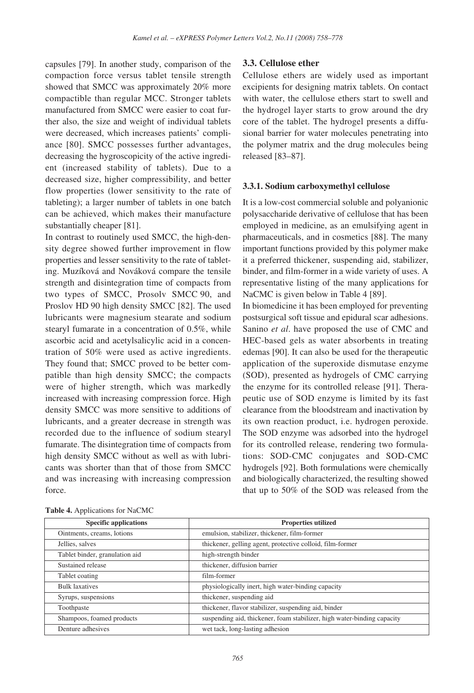capsules [79]. In another study, comparison of the compaction force versus tablet tensile strength showed that SMCC was approximately 20% more compactible than regular MCC. Stronger tablets manufactured from SMCC were easier to coat further also, the size and weight of individual tablets were decreased, which increases patients' compliance [80]. SMCC possesses further advantages, decreasing the hygroscopicity of the active ingredient (increased stability of tablets). Due to a decreased size, higher compressibility, and better flow properties (lower sensitivity to the rate of tableting); a larger number of tablets in one batch can be achieved, which makes their manufacture substantially cheaper [81].

In contrast to routinely used SMCC, the high-density degree showed further improvement in flow properties and lesser sensitivity to the rate of tableting. Muzíková and Nováková compare the tensile strength and disintegration time of compacts from two types of SMCC, Prosolv SMCC 90, and Proslov HD 90 high density SMCC [82]. The used lubricants were magnesium stearate and sodium stearyl fumarate in a concentration of 0.5%, while ascorbic acid and acetylsalicylic acid in a concentration of 50% were used as active ingredients. They found that; SMCC proved to be better compatible than high density SMCC; the compacts were of higher strength, which was markedly increased with increasing compression force. High density SMCC was more sensitive to additions of lubricants, and a greater decrease in strength was recorded due to the influence of sodium stearyl fumarate. The disintegration time of compacts from high density SMCC without as well as with lubricants was shorter than that of those from SMCC and was increasing with increasing compression force.

# **3.3. Cellulose ether**

Cellulose ethers are widely used as important excipients for designing matrix tablets. On contact with water, the cellulose ethers start to swell and the hydrogel layer starts to grow around the dry core of the tablet. The hydrogel presents a diffusional barrier for water molecules penetrating into the polymer matrix and the drug molecules being released [83–87].

## **3.3.1. Sodium carboxymethyl cellulose**

It is a low-cost commercial soluble and polyanionic polysaccharide derivative of cellulose that has been employed in medicine, as an emulsifying agent in pharmaceuticals, and in cosmetics [88]. The many important functions provided by this polymer make it a preferred thickener, suspending aid, stabilizer, binder, and film-former in a wide variety of uses. A representative listing of the many applications for NaCMC is given below in Table 4 [89].

In biomedicine it has been employed for preventing postsurgical soft tissue and epidural scar adhesions. Sanino *et al*. have proposed the use of CMC and HEC-based gels as water absorbents in treating edemas [90]. It can also be used for the therapeutic application of the superoxide dismutase enzyme (SOD), presented as hydrogels of CMC carrying the enzyme for its controlled release [91]. Therapeutic use of SOD enzyme is limited by its fast clearance from the bloodstream and inactivation by its own reaction product, i.e. hydrogen peroxide. The SOD enzyme was adsorbed into the hydrogel for its controlled release, rendering two formulations: SOD-CMC conjugates and SOD-CMC hydrogels [92]. Both formulations were chemically and biologically characterized, the resulting showed that up to 50% of the SOD was released from the

| <b>Specific applications</b>   | <b>Properties utilized</b>                                              |
|--------------------------------|-------------------------------------------------------------------------|
| Ointments, creams, lotions     | emulsion, stabilizer, thickener, film-former                            |
| Jellies, salves                | thickener, gelling agent, protective colloid, film-former               |
| Tablet binder, granulation aid | high-strength binder                                                    |
| Sustained release              | thickener, diffusion barrier                                            |
| Tablet coating                 | film-former                                                             |
| <b>Bulk laxatives</b>          | physiologically inert, high water-binding capacity                      |
| Syrups, suspensions            | thickener, suspending aid                                               |
| Toothpaste                     | thickener, flavor stabilizer, suspending aid, binder                    |
| Shampoos, foamed products      | suspending aid, thickener, foam stabilizer, high water-binding capacity |
| Denture adhesives              | wet tack, long-lasting adhesion                                         |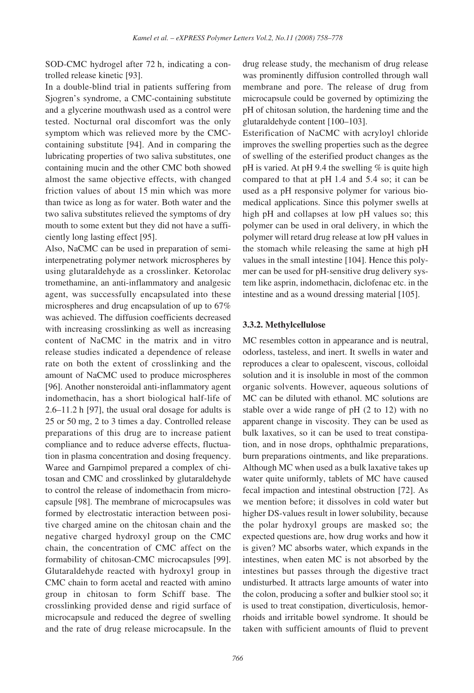SOD-CMC hydrogel after 72 h, indicating a controlled release kinetic [93].

In a double-blind trial in patients suffering from Sjogren's syndrome, a CMC-containing substitute and a glycerine mouthwash used as a control were tested. Nocturnal oral discomfort was the only symptom which was relieved more by the CMCcontaining substitute [94]. And in comparing the lubricating properties of two saliva substitutes, one containing mucin and the other CMC both showed almost the same objective effects, with changed friction values of about 15 min which was more than twice as long as for water. Both water and the two saliva substitutes relieved the symptoms of dry mouth to some extent but they did not have a sufficiently long lasting effect [95].

Also, NaCMC can be used in preparation of semiinterpenetrating polymer network microspheres by using glutaraldehyde as a crosslinker. Ketorolac tromethamine, an anti-inflammatory and analgesic agent, was successfully encapsulated into these microspheres and drug encapsulation of up to 67% was achieved. The diffusion coefficients decreased with increasing crosslinking as well as increasing content of NaCMC in the matrix and in vitro release studies indicated a dependence of release rate on both the extent of crosslinking and the amount of NaCMC used to produce microspheres [96]. Another nonsteroidal anti-inflammatory agent indomethacin, has a short biological half-life of 2.6–11.2 h [97], the usual oral dosage for adults is 25 or 50 mg, 2 to 3 times a day. Controlled release preparations of this drug are to increase patient compliance and to reduce adverse effects, fluctuation in plasma concentration and dosing frequency. Waree and Garnpimol prepared a complex of chitosan and CMC and crosslinked by glutaraldehyde to control the release of indomethacin from microcapsule [98]. The membrane of microcapsules was formed by electrostatic interaction between positive charged amine on the chitosan chain and the negative charged hydroxyl group on the CMC chain, the concentration of CMC affect on the formability of chitosan-CMC microcapsules [99]. Glutaraldehyde reacted with hydroxyl group in CMC chain to form acetal and reacted with amino group in chitosan to form Schiff base. The crosslinking provided dense and rigid surface of microcapsule and reduced the degree of swelling and the rate of drug release microcapsule. In the drug release study, the mechanism of drug release was prominently diffusion controlled through wall membrane and pore. The release of drug from microcapsule could be governed by optimizing the pH of chitosan solution, the hardening time and the glutaraldehyde content [100–103].

Esterification of NaCMC with acryloyl chloride improves the swelling properties such as the degree of swelling of the esterified product changes as the pH is varied. At pH 9.4 the swelling  $\%$  is quite high compared to that at pH 1.4 and 5.4 so; it can be used as a pH responsive polymer for various biomedical applications. Since this polymer swells at high pH and collapses at low pH values so; this polymer can be used in oral delivery, in which the polymer will retard drug release at low pH values in the stomach while releasing the same at high pH values in the small intestine [104]. Hence this polymer can be used for pH-sensitive drug delivery system like asprin, indomethacin, diclofenac etc. in the intestine and as a wound dressing material [105].

## **3.3.2. Methylcellulose**

MC resembles cotton in appearance and is neutral, odorless, tasteless, and inert. It swells in water and reproduces a clear to opalescent, viscous, colloidal solution and it is insoluble in most of the common organic solvents. However, aqueous solutions of MC can be diluted with ethanol. MC solutions are stable over a wide range of pH (2 to 12) with no apparent change in viscosity. They can be used as bulk laxatives, so it can be used to treat constipation, and in nose drops, ophthalmic preparations, burn preparations ointments, and like preparations. Although MC when used as a bulk laxative takes up water quite uniformly, tablets of MC have caused fecal impaction and intestinal obstruction [72]. As we mention before; it dissolves in cold water but higher DS-values result in lower solubility, because the polar hydroxyl groups are masked so; the expected questions are, how drug works and how it is given? MC absorbs water, which expands in the intestines, when eaten MC is not absorbed by the intestines but passes through the digestive tract undisturbed. It attracts large amounts of water into the colon, producing a softer and bulkier stool so; it is used to treat constipation, diverticulosis, hemorrhoids and irritable bowel syndrome. It should be taken with sufficient amounts of fluid to prevent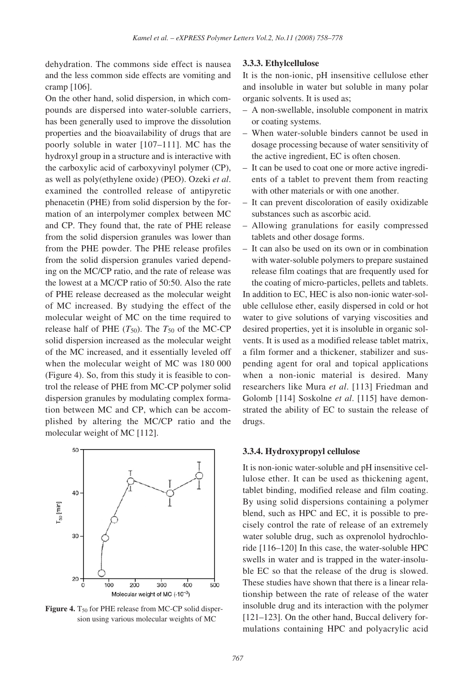dehydration. The commons side effect is nausea and the less common side effects are vomiting and cramp [106].

On the other hand, solid dispersion, in which compounds are dispersed into water-soluble carriers, has been generally used to improve the dissolution properties and the bioavailability of drugs that are poorly soluble in water [107–111]. MC has the hydroxyl group in a structure and is interactive with the carboxylic acid of carboxyvinyl polymer (CP), as well as poly(ethylene oxide) (PEO). Ozeki *et al*. examined the controlled release of antipyretic phenacetin (PHE) from solid dispersion by the formation of an interpolymer complex between MC and CP. They found that, the rate of PHE release from the solid dispersion granules was lower than from the PHE powder. The PHE release profiles from the solid dispersion granules varied depending on the MC/CP ratio, and the rate of release was the lowest at a MC/CP ratio of 50:50. Also the rate of PHE release decreased as the molecular weight of MC increased. By studying the effect of the molecular weight of MC on the time required to release half of PHE  $(T_{50})$ . The  $T_{50}$  of the MC-CP solid dispersion increased as the molecular weight of the MC increased, and it essentially leveled off when the molecular weight of MC was 180 000 (Figure 4). So, from this study it is feasible to control the release of PHE from MC-CP polymer solid dispersion granules by modulating complex formation between MC and CP, which can be accomplished by altering the MC/CP ratio and the molecular weight of MC [112].



**Figure 4.** T<sub>50</sub> for PHE release from MC-CP solid dispersion using various molecular weights of MC

#### **3.3.3. Ethylcellulose**

It is the non-ionic, pH insensitive cellulose ether and insoluble in water but soluble in many polar organic solvents. It is used as;

- A non-swellable, insoluble component in matrix or coating systems.
- When water-soluble binders cannot be used in dosage processing because of water sensitivity of the active ingredient, EC is often chosen.
- It can be used to coat one or more active ingredients of a tablet to prevent them from reacting with other materials or with one another.
- It can prevent discoloration of easily oxidizable substances such as ascorbic acid.
- Allowing granulations for easily compressed tablets and other dosage forms.
- It can also be used on its own or in combination with water-soluble polymers to prepare sustained release film coatings that are frequently used for the coating of micro-particles, pellets and tablets.

In addition to EC, HEC is also non-ionic water-soluble cellulose ether, easily dispersed in cold or hot water to give solutions of varying viscosities and desired properties, yet it is insoluble in organic solvents. It is used as a modified release tablet matrix, a film former and a thickener, stabilizer and suspending agent for oral and topical applications when a non-ionic material is desired. Many researchers like Mura *et al*. [113] Friedman and Golomb [114] Soskolne *et al*. [115] have demonstrated the ability of EC to sustain the release of drugs.

#### **3.3.4. Hydroxypropyl cellulose**

It is non-ionic water-soluble and pH insensitive cellulose ether. It can be used as thickening agent, tablet binding, modified release and film coating. By using solid dispersions containing a polymer blend, such as HPC and EC, it is possible to precisely control the rate of release of an extremely water soluble drug, such as oxprenolol hydrochloride [116–120] In this case, the water-soluble HPC swells in water and is trapped in the water-insoluble EC so that the release of the drug is slowed. These studies have shown that there is a linear relationship between the rate of release of the water insoluble drug and its interaction with the polymer [121–123]. On the other hand, Buccal delivery formulations containing HPC and polyacrylic acid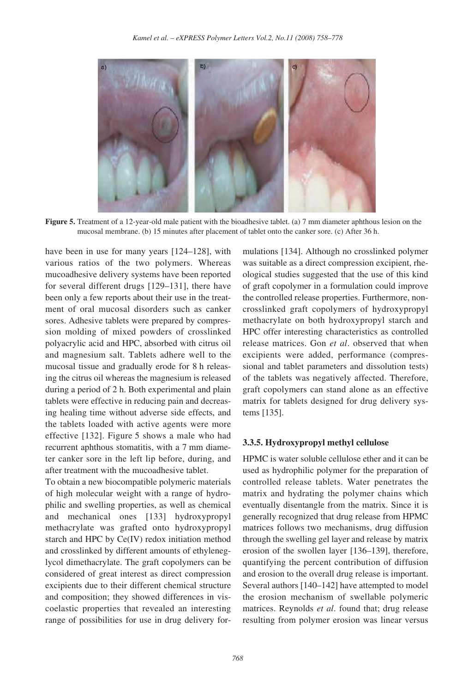

**Figure 5.** Treatment of a 12-year-old male patient with the bioadhesive tablet. (a) 7 mm diameter aphthous lesion on the mucosal membrane. (b) 15 minutes after placement of tablet onto the canker sore. (c) After 36 h.

have been in use for many years [124–128], with various ratios of the two polymers. Whereas mucoadhesive delivery systems have been reported for several different drugs [129–131], there have been only a few reports about their use in the treatment of oral mucosal disorders such as canker sores. Adhesive tablets were prepared by compression molding of mixed powders of crosslinked polyacrylic acid and HPC, absorbed with citrus oil and magnesium salt. Tablets adhere well to the mucosal tissue and gradually erode for 8 h releasing the citrus oil whereas the magnesium is released during a period of 2 h. Both experimental and plain tablets were effective in reducing pain and decreasing healing time without adverse side effects, and the tablets loaded with active agents were more effective [132]. Figure 5 shows a male who had recurrent aphthous stomatitis, with a 7 mm diameter canker sore in the left lip before, during, and after treatment with the mucoadhesive tablet.

To obtain a new biocompatible polymeric materials of high molecular weight with a range of hydrophilic and swelling properties, as well as chemical and mechanical ones [133] hydroxypropyl methacrylate was grafted onto hydroxypropyl starch and HPC by Ce(IV) redox initiation method and crosslinked by different amounts of ethyleneglycol dimethacrylate. The graft copolymers can be considered of great interest as direct compression excipients due to their different chemical structure and composition; they showed differences in viscoelastic properties that revealed an interesting range of possibilities for use in drug delivery formulations [134]. Although no crosslinked polymer was suitable as a direct compression excipient, rheological studies suggested that the use of this kind of graft copolymer in a formulation could improve the controlled release properties. Furthermore, noncrosslinked graft copolymers of hydroxypropyl methacrylate on both hydroxypropyl starch and HPC offer interesting characteristics as controlled release matrices. Gon *et al*. observed that when excipients were added, performance (compressional and tablet parameters and dissolution tests) of the tablets was negatively affected. Therefore, graft copolymers can stand alone as an effective matrix for tablets designed for drug delivery systems [135].

## **3.3.5. Hydroxypropyl methyl cellulose**

HPMC is water soluble cellulose ether and it can be used as hydrophilic polymer for the preparation of controlled release tablets. Water penetrates the matrix and hydrating the polymer chains which eventually disentangle from the matrix. Since it is generally recognized that drug release from HPMC matrices follows two mechanisms, drug diffusion through the swelling gel layer and release by matrix erosion of the swollen layer [136–139], therefore, quantifying the percent contribution of diffusion and erosion to the overall drug release is important. Several authors [140–142] have attempted to model the erosion mechanism of swellable polymeric matrices. Reynolds *et al*. found that; drug release resulting from polymer erosion was linear versus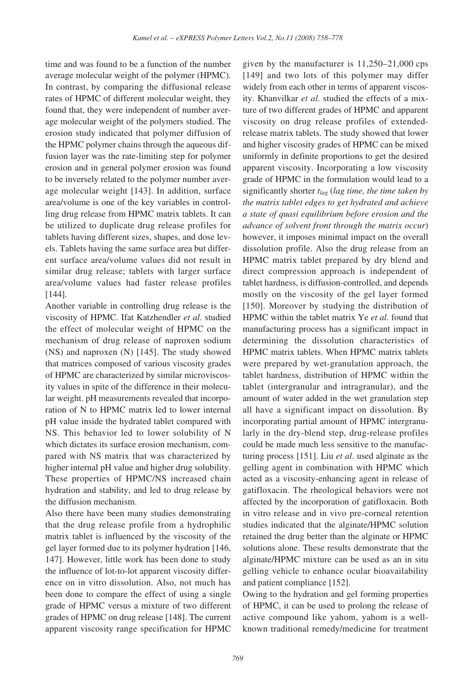time and was found to be a function of the number average molecular weight of the polymer (HPMC). In contrast, by comparing the diffusional release rates of HPMC of different molecular weight, they found that, they were independent of number average molecular weight of the polymers studied. The erosion study indicated that polymer diffusion of the HPMC polymer chains through the aqueous diffusion layer was the rate-limiting step for polymer erosion and in general polymer erosion was found to be inversely related to the polymer number average molecular weight [143]. In addition, surface area/volume is one of the key variables in controlling drug release from HPMC matrix tablets. It can be utilized to duplicate drug release profiles for tablets having different sizes, shapes, and dose levels. Tablets having the same surface area but different surface area/volume values did not result in similar drug release; tablets with larger surface area/volume values had faster release profiles [144].

Another variable in controlling drug release is the viscosity of HPMC. Ifat Katzhendler *et al*. studied the effect of molecular weight of HPMC on the mechanism of drug release of naproxen sodium (NS) and naproxen (N) [145]. The study showed that matrices composed of various viscosity grades of HPMC are characterized by similar microviscosity values in spite of the difference in their molecular weight. pH measurements revealed that incorporation of N to HPMC matrix led to lower internal pH value inside the hydrated tablet compared with NS. This behavior led to lower solubility of N which dictates its surface erosion mechanism, compared with NS matrix that was characterized by higher internal pH value and higher drug solubility. These properties of HPMC/NS increased chain hydration and stability, and led to drug release by the diffusion mechanism.

Also there have been many studies demonstrating that the drug release profile from a hydrophilic matrix tablet is influenced by the viscosity of the gel layer formed due to its polymer hydration [146, 147]. However, little work has been done to study the influence of lot-to-lot apparent viscosity difference on in vitro dissolution. Also, not much has been done to compare the effect of using a single grade of HPMC versus a mixture of two different grades of HPMC on drug release [148]. The current apparent viscosity range specification for HPMC given by the manufacturer is 11,250–21,000 cps [149] and two lots of this polymer may differ widely from each other in terms of apparent viscosity. Khanvilkar *et al*. studied the effects of a mixture of two different grades of HPMC and apparent viscosity on drug release profiles of extendedrelease matrix tablets. The study showed that lower and higher viscosity grades of HPMC can be mixed uniformly in definite proportions to get the desired apparent viscosity. Incorporating a low viscosity grade of HPMC in the formulation would lead to a significantly shorter *tlag* (*lag time, the time taken by the matrix tablet edges to get hydrated and achieve a state of quasi equilibrium before erosion and the advance of solvent front through the matrix occur*) however, it imposes minimal impact on the overall dissolution profile. Also the drug release from an HPMC matrix tablet prepared by dry blend and direct compression approach is independent of tablet hardness, is diffusion-controlled, and depends mostly on the viscosity of the gel layer formed [150]. Moreover by studying the distribution of HPMC within the tablet matrix Ye *et al*. found that manufacturing process has a significant impact in determining the dissolution characteristics of HPMC matrix tablets. When HPMC matrix tablets were prepared by wet-granulation approach, the tablet hardness, distribution of HPMC within the tablet (intergranular and intragranular), and the amount of water added in the wet granulation step all have a significant impact on dissolution. By incorporating partial amount of HPMC intergranularly in the dry-blend step, drug-release profiles could be made much less sensitive to the manufacturing process [151]. Liu *et al*. used alginate as the gelling agent in combination with HPMC which acted as a viscosity-enhancing agent in release of gatifloxacin. The rheological behaviors were not affected by the incorporation of gatifloxacin. Both in vitro release and in vivo pre-corneal retention studies indicated that the alginate/HPMC solution retained the drug better than the alginate or HPMC solutions alone. These results demonstrate that the alginate/HPMC mixture can be used as an in situ gelling vehicle to enhance ocular bioavailability and patient compliance [152].

Owing to the hydration and gel forming properties of HPMC, it can be used to prolong the release of active compound like yahom, yahom is a wellknown traditional remedy/medicine for treatment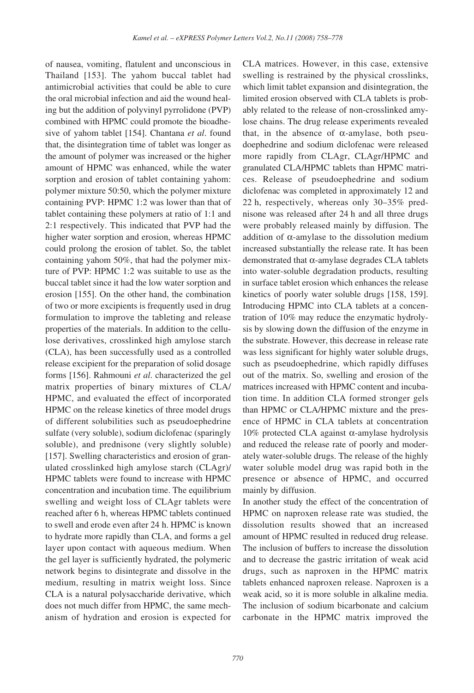of nausea, vomiting, flatulent and unconscious in Thailand [153]. The yahom buccal tablet had antimicrobial activities that could be able to cure the oral microbial infection and aid the wound healing but the addition of polyvinyl pyrrolidone (PVP) combined with HPMC could promote the bioadhesive of yahom tablet [154]. Chantana *et al*. found that, the disintegration time of tablet was longer as the amount of polymer was increased or the higher amount of HPMC was enhanced, while the water sorption and erosion of tablet containing yahom: polymer mixture 50:50, which the polymer mixture containing PVP: HPMC 1:2 was lower than that of tablet containing these polymers at ratio of 1:1 and 2:1 respectively. This indicated that PVP had the higher water sorption and erosion, whereas HPMC could prolong the erosion of tablet. So, the tablet containing yahom 50%, that had the polymer mixture of PVP: HPMC 1:2 was suitable to use as the buccal tablet since it had the low water sorption and erosion [155]. On the other hand, the combination of two or more excipients is frequently used in drug formulation to improve the tableting and release properties of the materials. In addition to the cellulose derivatives, crosslinked high amylose starch (CLA), has been successfully used as a controlled release excipient for the preparation of solid dosage forms [156]. Rahmouni *et al*. characterized the gel matrix properties of binary mixtures of CLA/ HPMC, and evaluated the effect of incorporated HPMC on the release kinetics of three model drugs of different solubilities such as pseudoephedrine sulfate (very soluble), sodium diclofenac (sparingly soluble), and prednisone (very slightly soluble) [157]. Swelling characteristics and erosion of granulated crosslinked high amylose starch (CLAgr)/ HPMC tablets were found to increase with HPMC concentration and incubation time. The equilibrium swelling and weight loss of CLAgr tablets were reached after 6 h, whereas HPMC tablets continued to swell and erode even after 24 h. HPMC is known to hydrate more rapidly than CLA, and forms a gel layer upon contact with aqueous medium. When the gel layer is sufficiently hydrated, the polymeric network begins to disintegrate and dissolve in the medium, resulting in matrix weight loss. Since CLA is a natural polysaccharide derivative, which does not much differ from HPMC, the same mechanism of hydration and erosion is expected for CLA matrices. However, in this case, extensive swelling is restrained by the physical crosslinks, which limit tablet expansion and disintegration, the limited erosion observed with CLA tablets is probably related to the release of non-crosslinked amylose chains. The drug release experiments revealed that, in the absence of  $\alpha$ -amylase, both pseudoephedrine and sodium diclofenac were released more rapidly from CLAgr, CLAgr/HPMC and granulated CLA/HPMC tablets than HPMC matrices. Release of pseudoephedrine and sodium diclofenac was completed in approximately 12 and 22 h, respectively, whereas only 30–35% prednisone was released after 24 h and all three drugs were probably released mainly by diffusion. The addition of  $\alpha$ -amylase to the dissolution medium increased substantially the release rate. It has been demonstrated that α-amylase degrades CLA tablets into water-soluble degradation products, resulting in surface tablet erosion which enhances the release kinetics of poorly water soluble drugs [158, 159]. Introducing HPMC into CLA tablets at a concentration of 10% may reduce the enzymatic hydrolysis by slowing down the diffusion of the enzyme in the substrate. However, this decrease in release rate was less significant for highly water soluble drugs, such as pseudoephedrine, which rapidly diffuses out of the matrix. So, swelling and erosion of the matrices increased with HPMC content and incubation time. In addition CLA formed stronger gels than HPMC or CLA/HPMC mixture and the presence of HPMC in CLA tablets at concentration 10% protected CLA against α-amylase hydrolysis and reduced the release rate of poorly and moderately water-soluble drugs. The release of the highly water soluble model drug was rapid both in the presence or absence of HPMC, and occurred mainly by diffusion.

In another study the effect of the concentration of HPMC on naproxen release rate was studied, the dissolution results showed that an increased amount of HPMC resulted in reduced drug release. The inclusion of buffers to increase the dissolution and to decrease the gastric irritation of weak acid drugs, such as naproxen in the HPMC matrix tablets enhanced naproxen release. Naproxen is a weak acid, so it is more soluble in alkaline media. The inclusion of sodium bicarbonate and calcium carbonate in the HPMC matrix improved the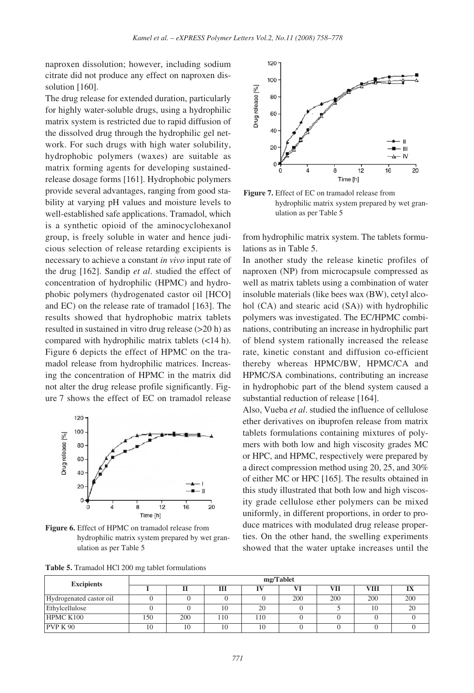naproxen dissolution; however, including sodium citrate did not produce any effect on naproxen dissolution [160].

The drug release for extended duration, particularly for highly water-soluble drugs, using a hydrophilic matrix system is restricted due to rapid diffusion of the dissolved drug through the hydrophilic gel network. For such drugs with high water solubility, hydrophobic polymers (waxes) are suitable as matrix forming agents for developing sustainedrelease dosage forms [161]. Hydrophobic polymers provide several advantages, ranging from good stability at varying pH values and moisture levels to well-established safe applications. Tramadol, which is a synthetic opioid of the aminocyclohexanol group, is freely soluble in water and hence judicious selection of release retarding excipients is necessary to achieve a constant *in vivo* input rate of the drug [162]. Sandip *et al*. studied the effect of concentration of hydrophilic (HPMC) and hydrophobic polymers (hydrogenated castor oil [HCO] and EC) on the release rate of tramadol [163]. The results showed that hydrophobic matrix tablets resulted in sustained in vitro drug release (>20 h) as compared with hydrophilic matrix tablets (<14 h). Figure 6 depicts the effect of HPMC on the tramadol release from hydrophilic matrices. Increasing the concentration of HPMC in the matrix did not alter the drug release profile significantly. Figure 7 shows the effect of EC on tramadol release



**Figure 6.** Effect of HPMC on tramadol release from hydrophilic matrix system prepared by wet granulation as per Table 5

120 100 Drug release [%] 80 60 40 П  $\overline{2}$ C - III  $\overline{N}$  $\dot{20}$  $\frac{1}{4}$  $\overline{8}$  $12$  $16$ Time [h]

**Figure 7.** Effect of EC on tramadol release from hydrophilic matrix system prepared by wet granulation as per Table 5

from hydrophilic matrix system. The tablets formulations as in Table 5.

In another study the release kinetic profiles of naproxen (NP) from microcapsule compressed as well as matrix tablets using a combination of water insoluble materials (like bees wax (BW), cetyl alcohol (CA) and stearic acid (SA)) with hydrophilic polymers was investigated. The EC/HPMC combinations, contributing an increase in hydrophilic part of blend system rationally increased the release rate, kinetic constant and diffusion co-efficient thereby whereas HPMC/BW, HPMC/CA and HPMC/SA combinations, contributing an increase in hydrophobic part of the blend system caused a substantial reduction of release [164].

Also, Vueba *et al*. studied the influence of cellulose ether derivatives on ibuprofen release from matrix tablets formulations containing mixtures of polymers with both low and high viscosity grades MC or HPC, and HPMC, respectively were prepared by a direct compression method using 20, 25, and 30% of either MC or HPC [165]. The results obtained in this study illustrated that both low and high viscosity grade cellulose ether polymers can be mixed uniformly, in different proportions, in order to produce matrices with modulated drug release properties. On the other hand, the swelling experiments showed that the water uptake increases until the

**Table 5.** Tramadol HCl 200 mg tablet formulations

| <b>Excipients</b>       | mg/Tablet |     |     |     |     |     |      |     |  |
|-------------------------|-----------|-----|-----|-----|-----|-----|------|-----|--|
|                         |           |     | Ш   | īV  |     | VII | VIII |     |  |
| Hydrogenated castor oil |           |     |     |     | 200 | 200 | 200  | 200 |  |
| Ethylcellulose          |           |     | 10  | 20  |     |     | 10   | 20  |  |
| HPMC K100               | 150       | 200 | 110 | 110 |     |     |      |     |  |
| PVP K 90                | 10        | 10  | 10  | 10  |     |     |      |     |  |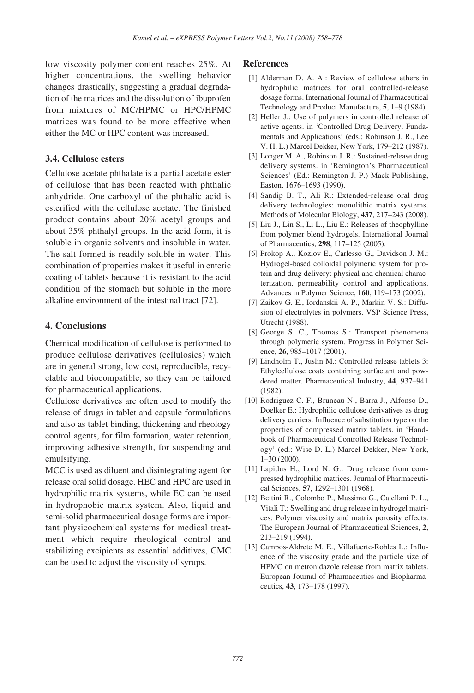low viscosity polymer content reaches 25%. At higher concentrations, the swelling behavior changes drastically, suggesting a gradual degradation of the matrices and the dissolution of ibuprofen from mixtures of MC/HPMC or HPC/HPMC matrices was found to be more effective when either the MC or HPC content was increased.

# **3.4. Cellulose esters**

Cellulose acetate phthalate is a partial acetate ester of cellulose that has been reacted with phthalic anhydride. One carboxyl of the phthalic acid is esterified with the cellulose acetate. The finished product contains about 20% acetyl groups and about 35% phthalyl groups. In the acid form, it is soluble in organic solvents and insoluble in water. The salt formed is readily soluble in water. This combination of properties makes it useful in enteric coating of tablets because it is resistant to the acid condition of the stomach but soluble in the more alkaline environment of the intestinal tract [72].

# **4. Conclusions**

Chemical modification of cellulose is performed to produce cellulose derivatives (cellulosics) which are in general strong, low cost, reproducible, recyclable and biocompatible, so they can be tailored for pharmaceutical applications.

Cellulose derivatives are often used to modify the release of drugs in tablet and capsule formulations and also as tablet binding, thickening and rheology control agents, for film formation, water retention, improving adhesive strength, for suspending and emulsifying.

MCC is used as diluent and disintegrating agent for release oral solid dosage. HEC and HPC are used in hydrophilic matrix systems, while EC can be used in hydrophobic matrix system. Also, liquid and semi-solid pharmaceutical dosage forms are important physicochemical systems for medical treatment which require rheological control and stabilizing excipients as essential additives, CMC can be used to adjust the viscosity of syrups.

## **References**

- [1] Alderman D. A. A.: Review of cellulose ethers in hydrophilic matrices for oral controlled-release dosage forms. International Journal of Pharmaceutical Technology and Product Manufacture, **5**, 1–9 (1984).
- [2] Heller J.: Use of polymers in controlled release of active agents. in 'Controlled Drug Delivery. Fundamentals and Applications' (eds.: Robinson J. R., Lee V. H. L.) Marcel Dekker, New York, 179–212 (1987).
- [3] Longer M. A., Robinson J. R.: Sustained-release drug delivery systems. in 'Remington's Pharmaceutical Sciences' (Ed.: Remington J. P.) Mack Publishing, Easton, 1676–1693 (1990).
- [4] Sandip B. T., Ali R.: Extended-release oral drug delivery technologies: monolithic matrix systems. Methods of Molecular Biology, **437**, 217–243 (2008).
- [5] Liu J., Lin S., Li L., Liu E.: Releases of theophylline from polymer blend hydrogels. International Journal of Pharmaceutics, **298**, 117–125 (2005).
- [6] Prokop A., Kozlov E., Carlesso G., Davidson J. M.: Hydrogel-based colloidal polymeric system for protein and drug delivery: physical and chemical characterization, permeability control and applications. Advances in Polymer Science, **160**, 119–173 (2002).
- [7] Zaikov G. E., Iordanskii A. P., Markin V. S.: Diffusion of electrolytes in polymers. VSP Science Press, Utrecht (1988).
- [8] George S. C., Thomas S.: Transport phenomena through polymeric system. Progress in Polymer Science, **26**, 985–1017 (2001).
- [9] Lindholm T., Juslin M.: Controlled release tablets 3: Ethylcellulose coats containing surfactant and powdered matter. Pharmaceutical Industry, **44**, 937–941 (1982).
- [10] Rodriguez C. F., Bruneau N., Barra J., Alfonso D., Doelker E.: Hydrophilic cellulose derivatives as drug delivery carriers: Influence of substitution type on the properties of compressed matrix tablets. in 'Handbook of Pharmaceutical Controlled Release Technology' (ed.: Wise D. L.) Marcel Dekker, New York, 1–30 (2000).
- [11] Lapidus H., Lord N. G.: Drug release from compressed hydrophilic matrices. Journal of Pharmaceutical Sciences, **57**, 1292–1301 (1968).
- [12] Bettini R., Colombo P., Massimo G., Catellani P. L., Vitali T.: Swelling and drug release in hydrogel matrices: Polymer viscosity and matrix porosity effects. The European Journal of Pharmaceutical Sciences, **2**, 213–219 (1994).
- [13] Campos-Aldrete M. E., Villafuerte-Robles L.: Influence of the viscosity grade and the particle size of HPMC on metronidazole release from matrix tablets. European Journal of Pharmaceutics and Biopharmaceutics, **43**, 173–178 (1997).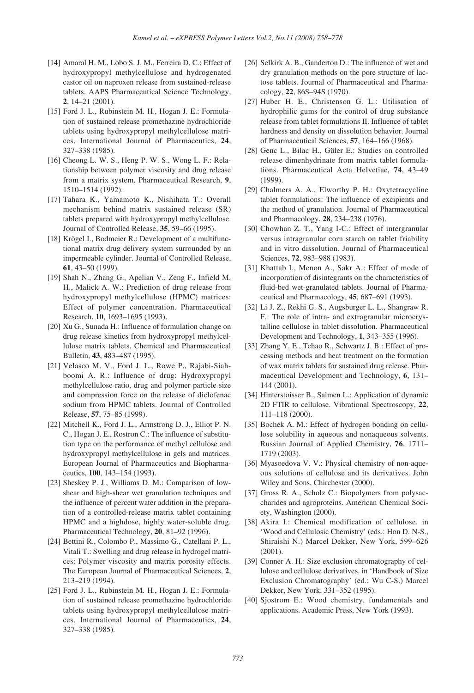- [14] Amaral H. M., Lobo S. J. M., Ferreira D. C.: Effect of hydroxypropyl methylcellulose and hydrogenated castor oil on naproxen release from sustained-release tablets. AAPS Pharmaceutical Science Technology, **2**, 14–21 (2001).
- [15] Ford J. L., Rubinstein M. H., Hogan J. E.: Formulation of sustained release promethazine hydrochloride tablets using hydroxypropyl methylcellulose matrices. International Journal of Pharmaceutics, **24**, 327–338 (1985).
- [16] Cheong L. W. S., Heng P. W. S., Wong L. F.: Relationship between polymer viscosity and drug release from a matrix system. Pharmaceutical Research, **9**, 1510–1514 (1992).
- [17] Tahara K., Yamamoto K., Nishihata T.: Overall mechanism behind matrix sustained release (SR) tablets prepared with hydroxypropyl methylcellulose. Journal of Controlled Release, **35**, 59–66 (1995).
- [18] Krögel I., Bodmeier R.: Development of a multifunctional matrix drug delivery system surrounded by an impermeable cylinder. Journal of Controlled Release, **61**, 43–50 (1999).
- [19] Shah N., Zhang G., Apelian V., Zeng F., Infield M. H., Malick A. W.: Prediction of drug release from hydroxypropyl methylcellulose (HPMC) matrices: Effect of polymer concentration. Pharmaceutical Research, **10**, 1693–1695 (1993).
- [20] Xu G., Sunada H.: Influence of formulation change on drug release kinetics from hydroxypropyl methylcellulose matrix tablets. Chemical and Pharmaceutical Bulletin, **43**, 483–487 (1995).
- [21] Velasco M. V., Ford J. L., Rowe P., Rajabi-Siahboomi A. R.: Influence of drug: Hydroxypropyl methylcellulose ratio, drug and polymer particle size and compression force on the release of diclofenac sodium from HPMC tablets. Journal of Controlled Release, **57**, 75–85 (1999).
- [22] Mitchell K., Ford J. L., Armstrong D. J., Elliot P. N. C., Hogan J. E., Rostron C.: The influence of substitution type on the performance of methyl cellulose and hydroxypropyl methylcellulose in gels and matrices. European Journal of Pharmaceutics and Biopharmaceutics, **100**, 143–154 (1993).
- [23] Sheskey P. J., Williams D. M.: Comparison of lowshear and high-shear wet granulation techniques and the influence of percent water addition in the preparation of a controlled-release matrix tablet containing HPMC and a highdose, highly water-soluble drug. Pharmaceutical Technology, **20**, 81–92 (1996).
- [24] Bettini R., Colombo P., Massimo G., Catellani P. L., Vitali T.: Swelling and drug release in hydrogel matrices: Polymer viscosity and matrix porosity effects. The European Journal of Pharmaceutical Sciences, **2**, 213–219 (1994).
- [25] Ford J. L., Rubinstein M. H., Hogan J. E.: Formulation of sustained release promethazine hydrochloride tablets using hydroxypropyl methylcellulose matrices. International Journal of Pharmaceutics, **24**, 327–338 (1985).
- [26] Selkirk A. B., Ganderton D.: The influence of wet and dry granulation methods on the pore structure of lactose tablets. Journal of Pharmaceutical and Pharmacology, **22**, 86S–94S (1970).
- [27] Huber H. E., Christenson G. L.: Utilisation of hydrophilic gums for the control of drug substance release from tablet formulations II. Influence of tablet hardness and density on dissolution behavior. Journal of Pharmaceutical Sciences, **57**, 164–166 (1968).
- [28] Genc L., Bilac H., Güler E.: Studies on controlled release dimenhydrinate from matrix tablet formulations. Pharmaceutical Acta Helvetiae, **74**, 43–49 (1999).
- [29] Chalmers A. A., Elworthy P. H.: Oxytetracycline tablet formulations: The influence of excipients and the method of granulation. Journal of Pharmaceutical and Pharmacology, **28**, 234–238 (1976).
- [30] Chowhan Z. T., Yang I-C.: Effect of intergranular versus intragranular corn starch on tablet friability and in vitro dissolution. Journal of Pharmaceutical Sciences, **72**, 983–988 (1983).
- [31] Khattab I., Menon A., Sakr A.: Effect of mode of incorporation of disintegrants on the characteristics of fluid-bed wet-granulated tablets. Journal of Pharmaceutical and Pharmacology, **45**, 687–691 (1993).
- [32] Li J. Z., Rekhi G. S., Augsburger L. L., Shangraw R. F.: The role of intra- and extragranular microcrystalline cellulose in tablet dissolution. Pharmaceutical Development and Technology, **1**, 343–355 (1996).
- [33] Zhang Y. E., Tchao R., Schwartz J. B.: Effect of processing methods and heat treatment on the formation of wax matrix tablets for sustained drug release. Pharmaceutical Development and Technology, **6**, 131– 144 (2001).
- [34] Hinterstoisser B., Salmen L.: Application of dynamic 2D FTIR to cellulose. Vibrational Spectroscopy, **22**, 111–118 (2000).
- [35] Bochek A. M.: Effect of hydrogen bonding on cellulose solubility in aqueous and nonaqueous solvents. Russian Journal of Applied Chemistry, **76**, 1711– 1719 (2003).
- [36] Myasoedova V. V.: Physical chemistry of non-aqueous solutions of cellulose and its derivatives. John Wiley and Sons, Chirchester (2000).
- [37] Gross R. A., Scholz C.: Biopolymers from polysaccharides and agroproteins. American Chemical Society, Washington (2000).
- [38] Akira I.: Chemical modification of cellulose. in 'Wood and Cellulosic Chemistry' (eds.: Hon D. N-S., Shiraishi N.) Marcel Dekker, New York, 599–626 (2001).
- [39] Conner A. H.: Size exclusion chromatography of cellulose and cellulose derivatives. in 'Handbook of Size Exclusion Chromatography' (ed.: Wu C-S.) Marcel Dekker, New York, 331–352 (1995).
- [40] Sjostrom E.: Wood chemistry, fundamentals and applications. Academic Press, New York (1993).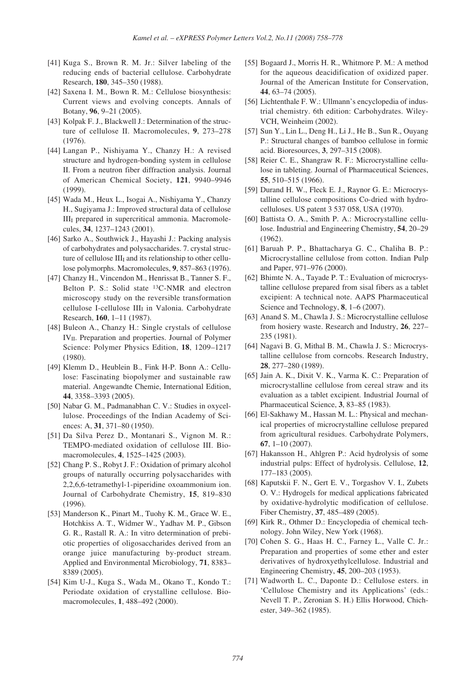- [41] Kuga S., Brown R. M. Jr.: Silver labeling of the reducing ends of bacterial cellulose. Carbohydrate Research, **180**, 345–350 (1988).
- [42] Saxena I. M., Bown R. M.: Cellulose biosynthesis: Current views and evolving concepts. Annals of Botany, **96**, 9–21 (2005).
- [43] Kolpak F. J., Blackwell J.: Determination of the structure of cellulose II. Macromolecules, **9**, 273–278 (1976).
- [44] Langan P., Nishiyama Y., Chanzy H.: A revised structure and hydrogen-bonding system in cellulose II. From a neutron fiber diffraction analysis. Journal of American Chemical Society, **121**, 9940–9946 (1999).
- [45] Wada M., Heux L., Isogai A., Nishiyama Y., Chanzy H., Sugiyama J.: Improved structural data of cellulose IIII prepared in supercritical ammonia. Macromolecules, **34**, 1237–1243 (2001).
- [46] Sarko A., Southwick J., Hayashi J.: Packing analysis of carbohydrates and polysaccharides. 7. crystal structure of cellulose III<sub>I</sub> and its relationship to other cellulose polymorphs. Macromolecules, **9**, 857–863 (1976).
- [47] Chanzy H., Vincendon M., Henrissat B., Tanner S. F., Belton P. S.: Solid state 13C-NMR and electron microscopy study on the reversible transformation cellulose I-cellulose III<sub>I</sub> in Valonia. Carbohydrate Research, **160**, 1–11 (1987).
- [48] Buleon A., Chanzy H.: Single crystals of cellulose IVII. Preparation and properties. Journal of Polymer Science: Polymer Physics Edition, **18**, 1209–1217 (1980).
- [49] Klemm D., Heublein B., Fink H-P. Bonn A.: Cellulose: Fascinating biopolymer and sustainable raw material. Angewandte Chemie, International Edition, **44**, 3358–3393 (2005).
- [50] Nabar G. M., Padmanabhan C. V.: Studies in oxycellulose. Proceedings of the Indian Academy of Sciences: A, **31**, 371–80 (1950).
- [51] Da Silva Perez D., Montanari S., Vignon M. R.: TEMPO-mediated oxidation of cellulose III. Biomacromolecules, **4**, 1525–1425 (2003).
- [52] Chang P. S., Robyt J. F.: Oxidation of primary alcohol groups of naturally occurring polysaccharides with 2,2,6,6-tetramethyl-1-piperidine oxoammonium ion. Journal of Carbohydrate Chemistry, **15**, 819–830 (1996).
- [53] Manderson K., Pinart M., Tuohy K. M., Grace W. E., Hotchkiss A. T., Widmer W., Yadhav M. P., Gibson G. R., Rastall R. A.: In vitro determination of prebiotic properties of oligosaccharides derived from an orange juice manufacturing by-product stream. Applied and Environmental Microbiology, **71**, 8383– 8389 (2005).
- [54] Kim U-J., Kuga S., Wada M., Okano T., Kondo T.: Periodate oxidation of crystalline cellulose. Biomacromolecules, **1**, 488–492 (2000).
- [55] Bogaard J., Morris H. R., Whitmore P. M.: A method for the aqueous deacidification of oxidized paper. Journal of the American Institute for Conservation, **44**, 63–74 (2005).
- [56] Lichtenthale F. W.: Ullmann's encyclopedia of industrial chemistry. 6th edition: Carbohydrates. Wiley-VCH, Weinheim (2002).
- [57] Sun Y., Lin L., Deng H., Li J., He B., Sun R., Ouyang P.: Structural changes of bamboo cellulose in formic acid. Bioresources, **3**, 297–315 (2008).
- [58] Reier C. E., Shangraw R. F.: Microcrystalline cellulose in tableting. Journal of Pharmaceutical Sciences, **55**, 510–515 (1966).
- [59] Durand H. W., Fleck E. J., Raynor G. E.: Microcrystalline cellulose compositions Co-dried with hydrocelluloses. US patent 3 537 058, USA (1970).
- [60] Battista O. A., Smith P. A.: Microcrystalline cellulose. Industrial and Engineering Chemistry, **54**, 20–29 (1962).
- [61] Baruah P. P., Bhattacharya G. C., Chaliha B. P.: Microcrystalline cellulose from cotton. Indian Pulp and Paper, 971–976 (2000).
- [62] Bhimte N. A., Tayade P. T.: Evaluation of microcrystalline cellulose prepared from sisal fibers as a tablet excipient: A technical note. AAPS Pharmaceutical Science and Technology, **8**, 1–6 (2007).
- [63] Anand S. M., Chawla J. S.: Microcrystalline cellulose from hosiery waste. Research and Industry, **26**, 227– 235 (1981).
- [64] Nagavi B. G, Mithal B. M., Chawla J. S.: Microcrystalline cellulose from corncobs. Research Industry, **28**, 277–280 (1989).
- [65] Jain A. K., Dixit V. K., Varma K. C.: Preparation of microcrystalline cellulose from cereal straw and its evaluation as a tablet excipient. Industrial Journal of Pharmaceutical Science, **3**, 83–85 (1983).
- [66] El-Sakhawy M., Hassan M. L.: Physical and mechanical properties of microcrystalline cellulose prepared from agricultural residues. Carbohydrate Polymers, **67**, 1–10 (2007).
- [67] Hakansson H., Ahlgren P.: Acid hydrolysis of some industrial pulps: Effect of hydrolysis. Cellulose, **12**, 177–183 (2005).
- [68] Kaputskii F. N., Gert E. V., Torgashov V. I., Zubets O. V.: Hydrogels for medical applications fabricated by oxidative-hydrolytic modification of cellulose. Fiber Chemistry, **37**, 485–489 (2005).
- [69] Kirk R., Othmer D.: Encyclopedia of chemical technology. John Wiley, New York (1968).
- [70] Cohen S. G., Haas H. C., Farney L., Valle C. Jr.: Preparation and properties of some ether and ester derivatives of hydroxyethylcellulose. Industrial and Engineering Chemistry, **45**, 200–203 (1953).
- [71] Wadworth L. C., Daponte D.: Cellulose esters. in 'Cellulose Chemistry and its Applications' (eds.: Nevell T. P., Zeronian S. H.) Ellis Horwood, Chichester, 349–362 (1985).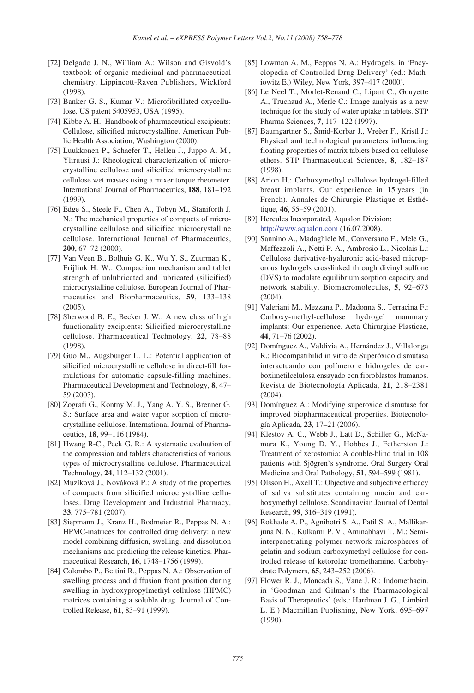- [72] Delgado J. N., William A.: Wilson and Gisvold's textbook of organic medicinal and pharmaceutical chemistry. Lippincott-Raven Publishers, Wickford (1998).
- [73] Banker G. S., Kumar V.: Microfibrillated oxycellulose. US patent 5405953, USA (1995).
- [74] Kibbe A. H.: Handbook of pharmaceutical excipients: Cellulose, silicified microcrystalline. American Public Health Association, Washington (2000).
- [75] Luukkonen P., Schaefer T., Hellen J., Juppo A. M., Yliruusi J.: Rheological characterization of microcrystalline cellulose and silicified microcrystalline cellulose wet masses using a mixer torque rheometer. International Journal of Pharmaceutics, **188**, 181–192 (1999).
- [76] Edge S., Steele F., Chen A., Tobyn M., Staniforth J. N.: The mechanical properties of compacts of microcrystalline cellulose and silicified microcrystalline cellulose. International Journal of Pharmaceutics, **200**, 67–72 (2000).
- [77] Van Veen B., Bolhuis G. K., Wu Y. S., Zuurman K., Frijlink H. W.: Compaction mechanism and tablet strength of unlubricated and lubricated (silicified) microcrystalline cellulose. European Journal of Pharmaceutics and Biopharmaceutics, **59**, 133–138 (2005).
- [78] Sherwood B. E., Becker J. W.: A new class of high functionality excipients: Silicified microcrystalline cellulose. Pharmaceutical Technology, **22**, 78–88 (1998).
- [79] Guo M., Augsburger L. L.: Potential application of silicified microcrystalline cellulose in direct-fill formulations for automatic capsule-filling machines. Pharmaceutical Development and Technology, **8**, 47– 59 (2003).
- [80] Zografi G., Kontny M. J., Yang A. Y. S., Brenner G. S.: Surface area and water vapor sorption of microcrystalline cellulose. International Journal of Pharmaceutics, **18**, 99–116 (1984).
- [81] Hwang R-C., Peck G. R.: A systematic evaluation of the compression and tablets characteristics of various types of microcrystalline cellulose. Pharmaceutical Technology, **24**, 112–132 (2001).
- [82] Muzíková J., Nováková P.: A study of the properties of compacts from silicified microcrystalline celluloses. Drug Development and Industrial Pharmacy, **33**, 775–781 (2007).
- [83] Siepmann J., Kranz H., Bodmeier R., Peppas N. A.: HPMC-matrices for controlled drug delivery: a new model combining diffusion, swelling, and dissolution mechanisms and predicting the release kinetics. Pharmaceutical Research, **16**, 1748–1756 (1999).
- [84] Colombo P., Bettini R., Peppas N. A.: Observation of swelling process and diffusion front position during swelling in hydroxypropylmethyl cellulose (HPMC) matrices containing a soluble drug. Journal of Controlled Release, **61**, 83–91 (1999).
- [85] Lowman A. M., Peppas N. A.: Hydrogels. in 'Encyclopedia of Controlled Drug Delivery' (ed.: Mathiowitz E.) Wiley, New York, 397–417 (2000).
- [86] Le Neel T., Morlet-Renaud C., Lipart C., Gouyette A., Truchaud A., Merle C.: Image analysis as a new technique for the study of water uptake in tablets. STP Pharma Sciences, **7**, 117–122 (1997).
- [87] Baumgartner S., Šmid-Korbar J., Vreèer F., Kristl J.: Physical and technological parameters influencing floating properties of matrix tablets based on cellulose ethers. STP Pharmaceutical Sciences, **8**, 182–187 (1998).
- [88] Arion H.: Carboxymethyl cellulose hydrogel-filled breast implants. Our experience in 15 years (in French). Annales de Chirurgie Plastique et Esthétique, **46**, 55–59 (2001).
- [89] Hercules Incorporated, Aqualon Division: http://www.aqualon.com (16.07.2008).
- [90] Sannino A., Madaghiele M., Conversano F., Mele G., Maffezzoli A., Netti P. A., Ambrosio L., Nicolais L.: Cellulose derivative-hyaluronic acid-based microporous hydrogels crosslinked through divinyl sulfone (DVS) to modulate equilibrium sorption capacity and network stability. Biomacromolecules, **5**, 92–673 (2004).
- [91] Valeriani M., Mezzana P., Madonna S., Terracina F.: Carboxy-methyl-cellulose hydrogel mammary implants: Our experience. Acta Chirurgiae Plasticae, **44**, 71–76 (2002).
- [92] Domínguez A., Valdivia A., Hernández J., Villalonga R.: Biocompatibilid in vitro de Superóxido dismutasa interactuando con polímero e hidrogeles de carboximetilcelulosa ensayado con fibroblastos humanos. Revista de Biotecnología Aplicada, **21**, 218–2381 (2004).
- [93] Domínguez A.: Modifying superoxide dismutase for improved biopharmaceutical properties. Biotecnología Aplicada, **23**, 17–21 (2006).
- [94] Klestov A. C., Webb J., Latt D., Schiller G., McNamara K., Young D. Y., Hobbes J., Fetherston J.: Treatment of xerostomia: A double-blind trial in 108 patients with Sjögren's syndrome. Oral Surgery Oral Medicine and Oral Pathology, **51**, 594–599 (1981).
- [95] Olsson H., Axell T.: Objective and subjective efficacy of saliva substitutes containing mucin and carboxymethyl cellulose. Scandinavian Journal of Dental Research, **99**, 316–319 (1991).
- [96] Rokhade A. P., Agnihotri S. A., Patil S. A., Mallikarjuna N. N., Kulkarni P. V., Aminabhavi T. M.: Semiinterpenetrating polymer network microspheres of gelatin and sodium carboxymethyl cellulose for controlled release of ketorolac tromethamine. Carbohydrate Polymers, **65**, 243–252 (2006).
- [97] Flower R. J., Moncada S., Vane J. R.: Indomethacin. in 'Goodman and Gilman's the Pharmacological Basis of Therapeutics' (eds.: Hardman J. G., Limbird L. E.) Macmillan Publishing, New York, 695–697 (1990).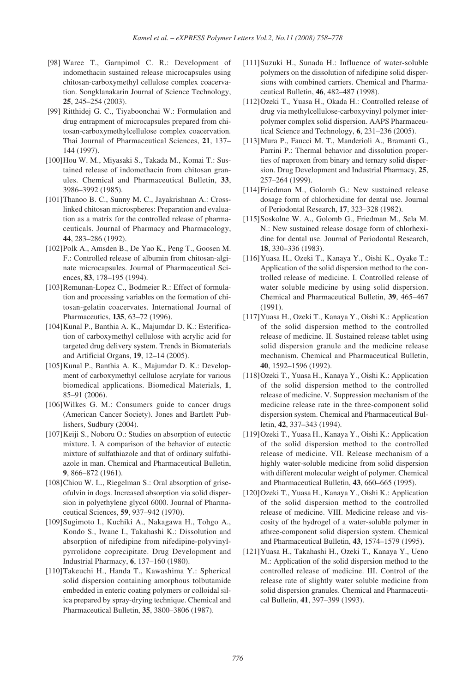- [98] Waree T., Garnpimol C. R.: Development of indomethacin sustained release microcapsules using chitosan-carboxymethyl cellulose complex coacervation. Songklanakarin Journal of Science Technology, **25**, 245–254 (2003).
- [99] Ritthidej G. C., Tiyaboonchai W.: Formulation and drug entrapment of microcapsules prepared from chitosan-carboxymethylcellulose complex coacervation. Thai Journal of Pharmaceutical Sciences, **21**, 137– 144 (1997).
- [100]Hou W. M., Miyasaki S., Takada M., Komai T.: Sustained release of indomethacin from chitosan granules. Chemical and Pharmaceutical Bulletin, **33**, 3986–3992 (1985).
- [101]Thanoo B. C., Sunny M. C., Jayakrishnan A.: Crosslinked chitosan microspheres: Preparation and evaluation as a matrix for the controlled release of pharmaceuticals. Journal of Pharmacy and Pharmacology, **44**, 283–286 (1992).
- [102]Polk A., Amsden B., De Yao K., Peng T., Goosen M. F.: Controlled release of albumin from chitosan-alginate microcapsules. Journal of Pharmaceutical Sciences, **83**, 178–195 (1994).
- [103]Remunan-Lopez C., Bodmeier R.: Effect of formulation and processing variables on the formation of chitosan-gelatin coacervates. International Journal of Pharmaceutics, **135**, 63–72 (1996).
- [104]Kunal P., Banthia A. K., Majumdar D. K.: Esterification of carboxymethyl cellulose with acrylic acid for targeted drug delivery system. Trends in Biomaterials and Artificial Organs, **19**, 12–14 (2005).
- [105]Kunal P., Banthia A. K., Majumdar D. K.: Development of carboxymethyl cellulose acrylate for various biomedical applications. Biomedical Materials, **1**, 85–91 (2006).
- [106] Wilkes G. M.: Consumers guide to cancer drugs (American Cancer Society). Jones and Bartlett Publishers, Sudbury (2004).
- [107]Keiji S., Noboru O.: Studies on absorption of eutectic mixture. I. A comparison of the behavior of eutectic mixture of sulfathiazole and that of ordinary sulfathiazole in man. Chemical and Pharmaceutical Bulletin, **9**, 866–872 (1961).
- [108]Chiou W. L., Riegelman S.: Oral absorption of griseofulvin in dogs. Increased absorption via solid dispersion in polyethylene glycol 6000. Journal of Pharmaceutical Sciences, **59**, 937–942 (1970).
- [109]Sugimoto I., Kuchiki A., Nakagawa H., Tohgo A., Kondo S., Iwane I., Takahashi K.: Dissolution and absorption of nifedipine from nifedipine-polyvinylpyrrolidone coprecipitate. Drug Development and Industrial Pharmacy, **6**, 137–160 (1980).
- [110]Takeuchi H., Handa T., Kawashima Y.: Spherical solid dispersion containing amorphous tolbutamide embedded in enteric coating polymers or colloidal silica prepared by spray-drying technique. Chemical and Pharmaceutical Bulletin, **35**, 3800–3806 (1987).
- [111]Suzuki H., Sunada H.: Influence of water-soluble polymers on the dissolution of nifedipine solid dispersions with combined carriers. Chemical and Pharmaceutical Bulletin, **46**, 482–487 (1998).
- [112]Ozeki T., Yuasa H., Okada H.: Controlled release of drug via methylcellulose-carboxyvinyl polymer interpolymer complex solid dispersion. AAPS Pharmaceutical Science and Technology, **6**, 231–236 (2005).
- [113]Mura P., Faucci M. T., Manderioli A., Bramanti G., Parrini P.: Thermal behavior and dissolution properties of naproxen from binary and ternary solid dispersion. Drug Development and Industrial Pharmacy, **25**, 257–264 (1999).
- [114]Friedman M., Golomb G.: New sustained release dosage form of chlorhexidine for dental use. Journal of Periodontal Research, **17**, 323–328 (1982).
- [115]Soskolne W. A., Golomb G., Friedman M., Sela M. N.: New sustained release dosage form of chlorhexidine for dental use. Journal of Periodontal Research, **18**, 330–336 (1983).
- [116]Yuasa H., Ozeki T., Kanaya Y., Oishi K., Oyake T.: Application of the solid dispersion method to the controlled release of medicine. I. Controlled release of water soluble medicine by using solid dispersion. Chemical and Pharmaceutical Bulletin, **39**, 465–467 (1991).
- [117]Yuasa H., Ozeki T., Kanaya Y., Oishi K.: Application of the solid dispersion method to the controlled release of medicine. II. Sustained release tablet using solid dispersion granule and the medicine release mechanism. Chemical and Pharmaceutical Bulletin, **40**, 1592–1596 (1992).
- [118]Ozeki T., Yuasa H., Kanaya Y., Oishi K.: Application of the solid dispersion method to the controlled release of medicine. V. Suppression mechanism of the medicine release rate in the three-component solid dispersion system. Chemical and Pharmaceutical Bulletin, **42**, 337–343 (1994).
- [119]Ozeki T., Yuasa H., Kanaya Y., Oishi K.: Application of the solid dispersion method to the controlled release of medicine. VII. Release mechanism of a highly water-soluble medicine from solid dispersion with different molecular weight of polymer. Chemical and Pharmaceutical Bulletin, **43**, 660–665 (1995).
- [120]Ozeki T., Yuasa H., Kanaya Y., Oishi K.: Application of the solid dispersion method to the controlled release of medicine. VIII. Medicine release and viscosity of the hydrogel of a water-soluble polymer in athree-component solid dispersion system. Chemical and Pharmaceutical Bulletin, **43**, 1574–1579 (1995).
- [121]Yuasa H., Takahashi H., Ozeki T., Kanaya Y., Ueno M.: Application of the solid dispersion method to the controlled release of medicine. III. Control of the release rate of slightly water soluble medicine from solid dispersion granules. Chemical and Pharmaceutical Bulletin, **41**, 397–399 (1993).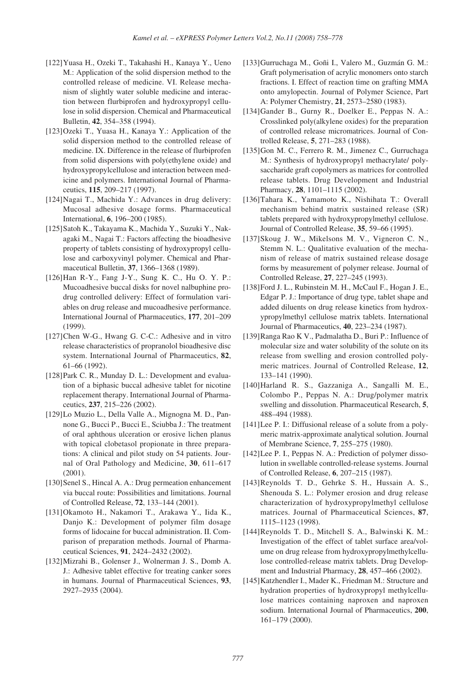- [122]Yuasa H., Ozeki T., Takahashi H., Kanaya Y., Ueno M.: Application of the solid dispersion method to the controlled release of medicine. VI. Release mechanism of slightly water soluble medicine and interaction between flurbiprofen and hydroxypropyl cellulose in solid dispersion. Chemical and Pharmaceutical Bulletin, **42**, 354–358 (1994).
- [123]Ozeki T., Yuasa H., Kanaya Y.: Application of the solid dispersion method to the controlled release of medicine. IX. Difference in the release of flurbiprofen from solid dispersions with poly(ethylene oxide) and hydroxypropylcellulose and interaction between medicine and polymers. International Journal of Pharmaceutics, **115**, 209–217 (1997).
- [124]Nagai T., Machida Y.: Advances in drug delivery: Mucosal adhesive dosage forms. Pharmaceutical International, **6**, 196–200 (1985).
- [125]Satoh K., Takayama K., Machida Y., Suzuki Y., Nakagaki M., Nagai T.: Factors affecting the bioadhesive property of tablets consisting of hydroxypropyl cellulose and carboxyvinyl polymer. Chemical and Pharmaceutical Bulletin, **37**, 1366–1368 (1989).
- [126]Han R-Y., Fang J-Y., Sung K. C., Hu O. Y. P.: Mucoadhesive buccal disks for novel nalbuphine prodrug controlled delivery: Effect of formulation variables on drug release and mucoadhesive performance. International Journal of Pharmaceutics, **177**, 201–209 (1999).
- [127]Chen W-G., Hwang G. C-C.: Adhesive and in vitro release characteristics of propranolol bioadhesive disc system. International Journal of Pharmaceutics, **82**, 61–66 (1992).
- [128]Park C. R., Munday D. L.: Development and evaluation of a biphasic buccal adhesive tablet for nicotine replacement therapy. International Journal of Pharmaceutics, **237**, 215–226 (2002).
- [129]Lo Muzio L., Della Valle A., Mignogna M. D., Pannone G., Bucci P., Bucci E., Sciubba J.: The treatment of oral aphthous ulceration or erosive lichen planus with topical clobetasol propionate in three preparations: A clinical and pilot study on 54 patients. Journal of Oral Pathology and Medicine, **30**, 611–617 (2001).
- [130] Senel S., Hincal A. A.: Drug permeation enhancement via buccal route: Possibilities and limitations. Journal of Controlled Release, **72**, 133–144 (2001).
- [131]Okamoto H., Nakamori T., Arakawa Y., Iida K., Danjo K.: Development of polymer film dosage forms of lidocaine for buccal administration. II. Comparison of preparation methods. Journal of Pharmaceutical Sciences, **91**, 2424–2432 (2002).
- [132]Mizrahi B., Golenser J., Wolnerman J. S., Domb A. J.: Adhesive tablet effective for treating canker sores in humans. Journal of Pharmaceutical Sciences, **93**, 2927–2935 (2004).
- [133]Gurruchaga M., Goñi I., Valero M., Guzmán G. M.: Graft polymerisation of acrylic monomers onto starch fractions. I. Effect of reaction time on grafting MMA onto amylopectin. Journal of Polymer Science, Part A: Polymer Chemistry, **21**, 2573–2580 (1983).
- [134]Gander B., Gurny R., Doelker E., Peppas N. A.: Crosslinked poly(alkylene oxides) for the preparation of controlled release micromatrices. Journal of Controlled Release, **5**, 271–283 (1988).
- [135]Gon M. C., Ferrero R. M., Jimenez C., Gurruchaga M.: Synthesis of hydroxypropyl methacrylate/ polysaccharide graft copolymers as matrices for controlled release tablets. Drug Development and Industrial Pharmacy, **28**, 1101–1115 (2002).
- [136]Tahara K., Yamamoto K., Nishihata T.: Overall mechanism behind matrix sustained release (SR) tablets prepared with hydroxypropylmethyl cellulose. Journal of Controlled Release, **35**, 59–66 (1995).
- [137]Skoug J. W., Mikelsons M. V., Vigneron C. N., Stemm N. L.: Qualitative evaluation of the mechanism of release of matrix sustained release dosage forms by measurement of polymer release. Journal of Controlled Release, **27**, 227–245 (1993).
- [138] Ford J. L., Rubinstein M. H., McCaul F., Hogan J. E., Edgar P. J.: Importance of drug type, tablet shape and added diluents on drug release kinetics from hydroxypropylmethyl cellulose matrix tablets. International Journal of Pharmaceutics, **40**, 223–234 (1987).
- [139]Ranga Rao K V., Padmalatha D., Buri P.: Influence of molecular size and water solubility of the solute on its release from swelling and erosion controlled polymeric matrices. Journal of Controlled Release, **12**, 133–141 (1990).
- [140]Harland R. S., Gazzaniga A., Sangalli M. E., Colombo P., Peppas N. A.: Drug/polymer matrix swelling and dissolution. Pharmaceutical Research, **5**, 488–494 (1988).
- [141] Lee P. I.: Diffusional release of a solute from a polymeric matrix-approximate analytical solution. Journal of Membrane Science, **7**, 255–275 (1980).
- [142]Lee P. I., Peppas N. A.: Prediction of polymer dissolution in swellable controlled-release systems. Journal of Controlled Release, **6**, 207–215 (1987).
- [143]Reynolds T. D., Gehrke S. H., Hussain A. S., Shenouda S. L.: Polymer erosion and drug release characterization of hydroxypropylmethyl cellulose matrices. Journal of Pharmaceutical Sciences, **87**, 1115–1123 (1998).
- [144]Reynolds T. D., Mitchell S. A., Balwinski K. M.: Investigation of the effect of tablet surface area/volume on drug release from hydroxypropylmethylcellulose controlled-release matrix tablets. Drug Development and Industrial Pharmacy, **28**, 457–466 (2002).
- [145]Katzhendler I., Mader K., Friedman M.: Structure and hydration properties of hydroxypropyl methylcellulose matrices containing naproxen and naproxen sodium. International Journal of Pharmaceutics, **200**, 161–179 (2000).